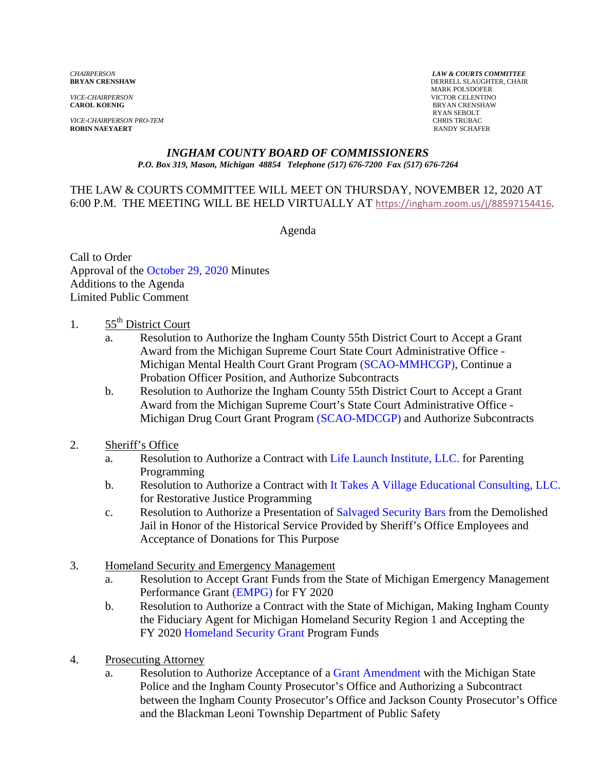*VICE-CHAIRPERSON* VICTOR CELENTINO

*VICE-CHAIRPERSON PRO-TEM* CHRIS TRUBAC **ROBIN NAEYAERT** 

*CHAIRPERSON LAW & COURTS COMMITTEE* **DERRELL SLAUGHTER, CHAIR**  MARK POLSDOFER **BRYAN CRENSHAW** RYAN SEBOLT

#### *INGHAM COUNTY BOARD OF COMMISSIONERS P.O. Box 319, Mason, Michigan 48854 Telephone (517) 676-7200 Fax (517) 676-7264*

#### THE LAW & COURTS COMMITTEE WILL MEET ON THURSDAY, NOVEMBER 12, 2020 AT 6:00 P.M. THE MEETING WILL BE HELD VIRTUALLY AT [https://ingham.zoom.us/j/88597154416.](https://ingham.zoom.us/j/88597154416)

Agenda

Call to Order App[roval of the October 29, 2020 Minutes](#page-2-0)  Additions to the Agenda Limited Public Comment

- 1.  $55<sup>th</sup>$  District Court
	- a. [Resolution to Authorize the In](#page-4-0)gham County 55th District Court to Accept a Grant Award from the Michigan Supreme Court State Court Administrative Office - Michigan Mental Health Court Grant Program [\(SCAO-MMHCGP\), Contin](#page-10-0)ue a Probation Officer Position, and Authorize Subcontracts
	- b. Resolution to Authorize the Ingham County 55th District Court to Accept a Grant Award from the Michigan Supreme Court's State Court Administrative Office - Michigan Drug Court Grant Progra[m \(SCAO-MDCGP\) and Aut](#page-13-0)horize Subcontracts
- 2. Sheriff's Office
	- a. Resolution to Authorize a Contract with [Life Launch Institute, LLC. for Pa](#page-16-0)renting Programming
	- b. Resolution to Authorize a Contract with It [Takes A Village Educational Consulting, LLC.](#page-19-0) for Restorative Justice Programming
	- c. Resolution to Authorize a Presentation of Salvaged Security Bars from the Demolished Jail in Honor of the Historical Servic[e Provided by Sheriff's Office Em](#page-22-0)ployees and Acceptance of Donations for This Purpose
- 3. Homeland Security and Emergency Management
	- a. Resolution to Accept Grant Funds from the State of Michigan Emergency Management Performance [Grant \(EMPG\) for FY 2020](#page-24-0)
	- b. Resolution to Authorize a Contract with the State of Michigan, Making Ingham County the Fiduciary Agent for Michigan Homeland Security Region 1 and Accepting the FY 2[020 Homeland Security Grant Program](#page-26-0) Funds
- 4. Prosecuting Attorney
	- a. Resolution to Authorize Acceptance of a [Grant Amendment with the](#page-28-0) Michigan State Police and the Ingham County Prosecutor's Office and Authorizing a Subcontract between the Ingham County Prosecutor's Office and Jackson County Prosecutor's Office and the Blackman Leoni Township Department of Public Safety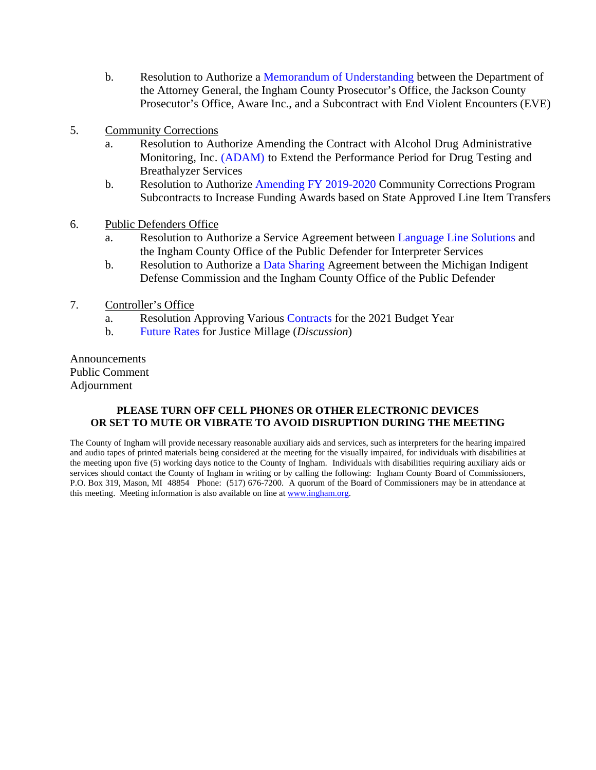- b. Resolution to Authorize a Memorandum of Understanding between the Department of the Attorney General, the Ingham [County Prosecutor's Office, the Jack](#page-30-0)son County Prosecutor's Office, Aware Inc., and a Subcontract with End Violent Encounters (EVE)
- 5. Community Corrections
	- a. Resolution to Authorize Amending the Contract with Alcohol Drug Administrative Monitoring, I[nc. \(ADAM\) to Exten](#page-33-0)d the Performance Period for Drug Testing and Breathalyzer Services
	- b. Resolution to Authorize Amending FY 2019-2020 Community Corrections Program Subcontracts to Incre[ase Funding Awards based on State](#page-36-0) Approved Line Item Transfers
- 6. Public Defenders Office
	- a. Resolution to Authorize a Service Agreement betw[een Language Line Solutions and](#page-38-0) the Ingham County Office of the Public Defender for Interpreter Services
	- b. Resolution to Authorize a Data Sharing Agreement between the Michigan Indigent Defense Commission [and the Ingham Count](#page-40-0)y Office of the Public Defender
- 7. Controller's Office
	- a. Resolution Approving Vari[ous Contracts for the 2021](#page-44-0) Budget Year
	- b. [Future Rates for Ju](#page-48-0)stice Millage (*Discussion*)

Announcements Public Comment Adjournment

#### **PLEASE TURN OFF CELL PHONES OR OTHER ELECTRONIC DEVICES OR SET TO MUTE OR VIBRATE TO AVOID DISRUPTION DURING THE MEETING**

The County of Ingham will provide necessary reasonable auxiliary aids and services, such as interpreters for the hearing impaired and audio tapes of printed materials being considered at the meeting for the visually impaired, for individuals with disabilities at the meeting upon five (5) working days notice to the County of Ingham. Individuals with disabilities requiring auxiliary aids or services should contact the County of Ingham in writing or by calling the following: Ingham County Board of Commissioners, P.O. Box 319, Mason, MI 48854 Phone: (517) 676-7200. A quorum of the Board of Commissioners may be in attendance at this meeting. Meeting information is also available on line at www.ingham.org.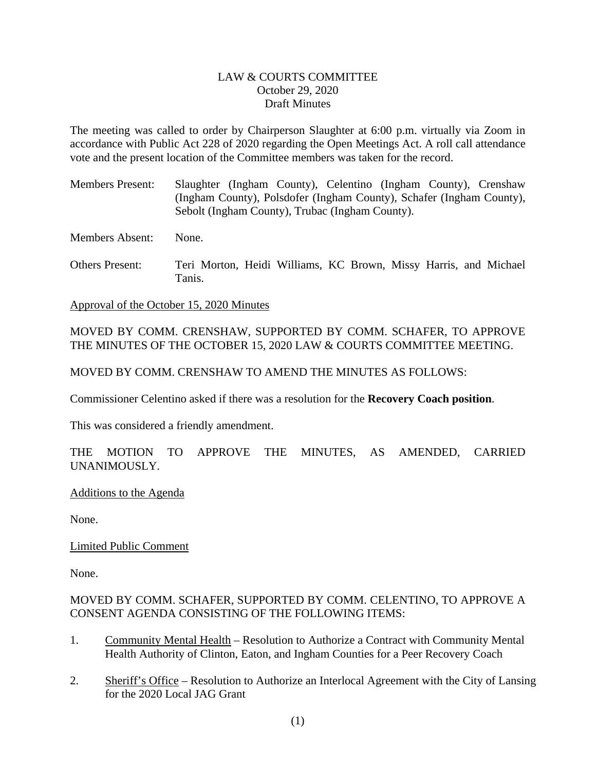#### LAW & COURTS COMMITTEE October 29, 2020 Draft Minutes

<span id="page-2-0"></span>The meeting was called to order by Chairperson Slaughter at 6:00 p.m. virtually via Zoom in accordance with Public Act 228 of 2020 regarding the Open Meetings Act. A roll call attendance vote and the present location of the Committee members was taken for the record.

Members Present: Slaughter (Ingham County), Celentino (Ingham County), Crenshaw (Ingham County), Polsdofer (Ingham County), Schafer (Ingham County), Sebolt (Ingham County), Trubac (Ingham County).

Members Absent: None.

Others Present: Teri Morton, Heidi Williams, KC Brown, Missy Harris, and Michael Tanis.

Approval of the October 15, 2020 Minutes

MOVED BY COMM. CRENSHAW, SUPPORTED BY COMM. SCHAFER, TO APPROVE THE MINUTES OF THE OCTOBER 15, 2020 LAW & COURTS COMMITTEE MEETING.

MOVED BY COMM. CRENSHAW TO AMEND THE MINUTES AS FOLLOWS:

Commissioner Celentino asked if there was a resolution for the **Recovery Coach position**.

This was considered a friendly amendment.

THE MOTION TO APPROVE THE MINUTES, AS AMENDED, CARRIED UNANIMOUSLY.

Additions to the Agenda

None.

Limited Public Comment

None.

#### MOVED BY COMM. SCHAFER, SUPPORTED BY COMM. CELENTINO, TO APPROVE A CONSENT AGENDA CONSISTING OF THE FOLLOWING ITEMS:

- 1. Community Mental Health Resolution to Authorize a Contract with Community Mental Health Authority of Clinton, Eaton, and Ingham Counties for a Peer Recovery Coach
- 2. Sheriff's Office Resolution to Authorize an Interlocal Agreement with the City of Lansing for the 2020 Local JAG Grant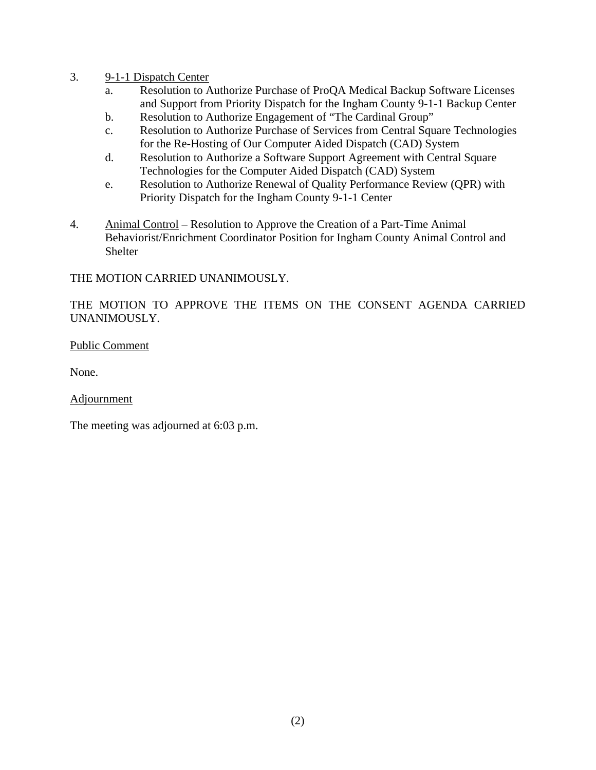- 3. 9-1-1 Dispatch Center
	- a. Resolution to Authorize Purchase of ProQA Medical Backup Software Licenses and Support from Priority Dispatch for the Ingham County 9-1-1 Backup Center
	- b. Resolution to Authorize Engagement of "The Cardinal Group"
	- c. Resolution to Authorize Purchase of Services from Central Square Technologies for the Re-Hosting of Our Computer Aided Dispatch (CAD) System
	- d. Resolution to Authorize a Software Support Agreement with Central Square Technologies for the Computer Aided Dispatch (CAD) System
	- e. Resolution to Authorize Renewal of Quality Performance Review (QPR) with Priority Dispatch for the Ingham County 9-1-1 Center
- 4. Animal Control Resolution to Approve the Creation of a Part-Time Animal Behaviorist/Enrichment Coordinator Position for Ingham County Animal Control and Shelter

#### THE MOTION CARRIED UNANIMOUSLY.

### THE MOTION TO APPROVE THE ITEMS ON THE CONSENT AGENDA CARRIED UNANIMOUSLY.

#### Public Comment

None.

#### Adjournment

The meeting was adjourned at 6:03 p.m.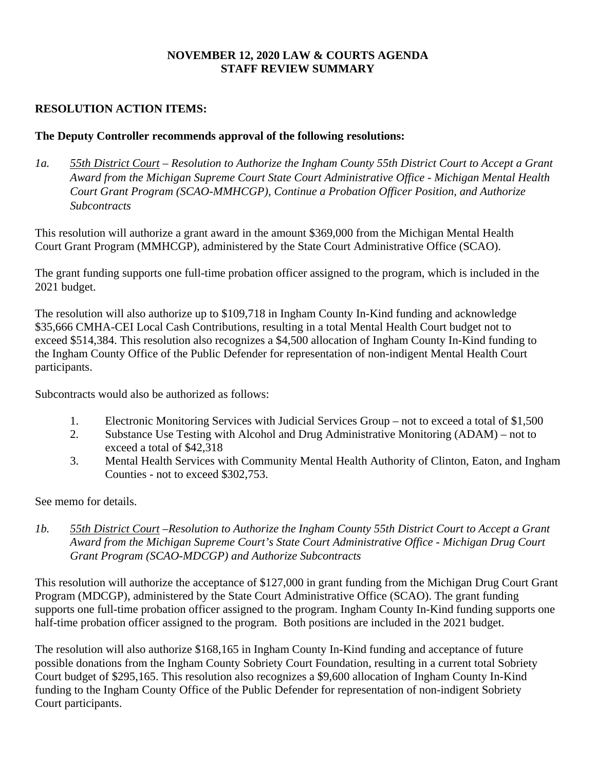### **NOVEMBER 12, 2020 LAW & COURTS AGENDA STAFF REVIEW SUMMARY**

### <span id="page-4-0"></span>**RESOLUTION ACTION ITEMS:**

### **The Deputy Controller recommends approval of the following resolutions:**

*1a. 55th District Court – Resolution to Authorize the Ingham County 55th District Court to Accept a Grant Award from the Michigan Supreme Court State Court Administrative Office - Michigan Mental Health Court Grant Program (SCAO-MMHCGP), Continue a Probation Officer Position, and Authorize Subcontracts* 

This resolution will authorize a grant award in the amount \$369,000 from the Michigan Mental Health Court Grant Program (MMHCGP), administered by the State Court Administrative Office (SCAO).

The grant funding supports one full-time probation officer assigned to the program, which is included in the 2021 budget.

The resolution will also authorize up to \$109,718 in Ingham County In-Kind funding and acknowledge \$35,666 CMHA-CEI Local Cash Contributions, resulting in a total Mental Health Court budget not to exceed \$514,384. This resolution also recognizes a \$4,500 allocation of Ingham County In-Kind funding to the Ingham County Office of the Public Defender for representation of non-indigent Mental Health Court participants.

Subcontracts would also be authorized as follows:

- 1. Electronic Monitoring Services with Judicial Services Group not to exceed a total of \$1,500
- 2. Substance Use Testing with Alcohol and Drug Administrative Monitoring (ADAM) not to exceed a total of \$42,318
- 3. Mental Health Services with Community Mental Health Authority of Clinton, Eaton, and Ingham Counties - not to exceed \$302,753.

See memo for details.

*1b. 55th District Court –Resolution to Authorize the Ingham County 55th District Court to Accept a Grant Award from the Michigan Supreme Court's State Court Administrative Office - Michigan Drug Court Grant Program (SCAO-MDCGP) and Authorize Subcontracts*

This resolution will authorize the acceptance of \$127,000 in grant funding from the Michigan Drug Court Grant Program (MDCGP), administered by the State Court Administrative Office (SCAO). The grant funding supports one full-time probation officer assigned to the program. Ingham County In-Kind funding supports one half-time probation officer assigned to the program. Both positions are included in the 2021 budget.

The resolution will also authorize \$168,165 in Ingham County In-Kind funding and acceptance of future possible donations from the Ingham County Sobriety Court Foundation, resulting in a current total Sobriety Court budget of \$295,165. This resolution also recognizes a \$9,600 allocation of Ingham County In-Kind funding to the Ingham County Office of the Public Defender for representation of non-indigent Sobriety Court participants.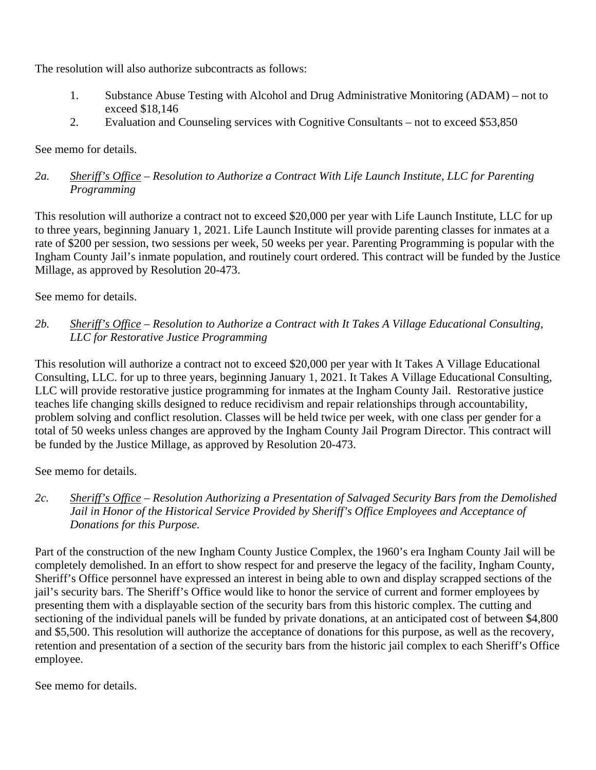The resolution will also authorize subcontracts as follows:

- 1. Substance Abuse Testing with Alcohol and Drug Administrative Monitoring (ADAM) not to exceed \$18,146
- 2. Evaluation and Counseling services with Cognitive Consultants not to exceed \$53,850

See memo for details.

### *2a. Sheriff's Office – Resolution to Authorize a Contract With Life Launch Institute, LLC for Parenting Programming*

This resolution will authorize a contract not to exceed \$20,000 per year with Life Launch Institute, LLC for up to three years, beginning January 1, 2021. Life Launch Institute will provide parenting classes for inmates at a rate of \$200 per session, two sessions per week, 50 weeks per year. Parenting Programming is popular with the Ingham County Jail's inmate population, and routinely court ordered. This contract will be funded by the Justice Millage, as approved by Resolution 20-473.

See memo for details.

*2b. Sheriff's Office – Resolution to Authorize a Contract with It Takes A Village Educational Consulting, LLC for Restorative Justice Programming*

This resolution will authorize a contract not to exceed \$20,000 per year with It Takes A Village Educational Consulting, LLC. for up to three years, beginning January 1, 2021. It Takes A Village Educational Consulting, LLC will provide restorative justice programming for inmates at the Ingham County Jail. Restorative justice teaches life changing skills designed to reduce recidivism and repair relationships through accountability, problem solving and conflict resolution. Classes will be held twice per week, with one class per gender for a total of 50 weeks unless changes are approved by the Ingham County Jail Program Director. This contract will be funded by the Justice Millage, as approved by Resolution 20-473.

See memo for details.

*2c. Sheriff's Office – Resolution Authorizing a Presentation of Salvaged Security Bars from the Demolished Jail in Honor of the Historical Service Provided by Sheriff's Office Employees and Acceptance of Donations for this Purpose.* 

Part of the construction of the new Ingham County Justice Complex, the 1960's era Ingham County Jail will be completely demolished. In an effort to show respect for and preserve the legacy of the facility, Ingham County, Sheriff's Office personnel have expressed an interest in being able to own and display scrapped sections of the jail's security bars. The Sheriff's Office would like to honor the service of current and former employees by presenting them with a displayable section of the security bars from this historic complex. The cutting and sectioning of the individual panels will be funded by private donations, at an anticipated cost of between \$4,800 and \$5,500. This resolution will authorize the acceptance of donations for this purpose, as well as the recovery, retention and presentation of a section of the security bars from the historic jail complex to each Sheriff's Office employee.

See memo for details.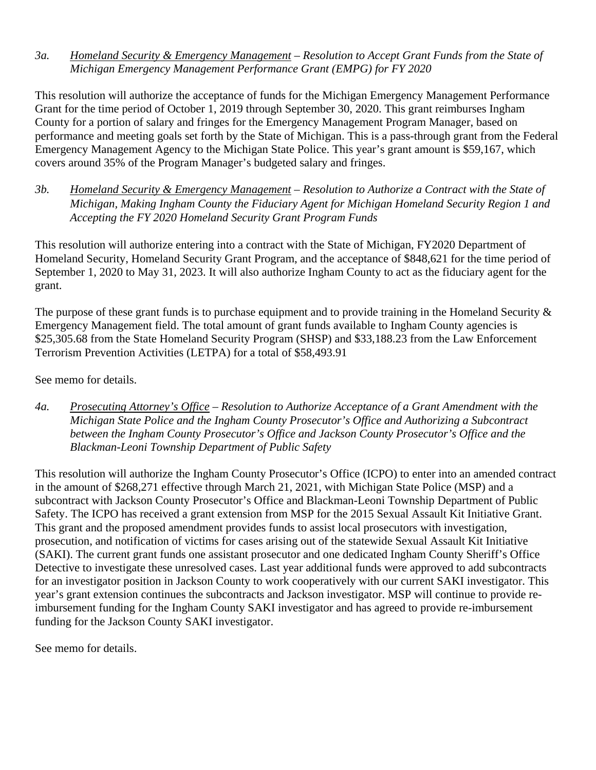*3a. Homeland Security & Emergency Management – Resolution to Accept Grant Funds from the State of Michigan Emergency Management Performance Grant (EMPG) for FY 2020* 

This resolution will authorize the acceptance of funds for the Michigan Emergency Management Performance Grant for the time period of October 1, 2019 through September 30, 2020. This grant reimburses Ingham County for a portion of salary and fringes for the Emergency Management Program Manager, based on performance and meeting goals set forth by the State of Michigan. This is a pass-through grant from the Federal Emergency Management Agency to the Michigan State Police. This year's grant amount is \$59,167, which covers around 35% of the Program Manager's budgeted salary and fringes.

*3b. Homeland Security & Emergency Management – Resolution to Authorize a Contract with the State of Michigan, Making Ingham County the Fiduciary Agent for Michigan Homeland Security Region 1 and Accepting the FY 2020 Homeland Security Grant Program Funds* 

This resolution will authorize entering into a contract with the State of Michigan, FY2020 Department of Homeland Security, Homeland Security Grant Program, and the acceptance of \$848,621 for the time period of September 1, 2020 to May 31, 2023. It will also authorize Ingham County to act as the fiduciary agent for the grant.

The purpose of these grant funds is to purchase equipment and to provide training in the Homeland Security  $\&$ Emergency Management field. The total amount of grant funds available to Ingham County agencies is \$25,305.68 from the State Homeland Security Program (SHSP) and \$33,188.23 from the Law Enforcement Terrorism Prevention Activities (LETPA) for a total of \$58,493.91

See memo for details.

*4a. Prosecuting Attorney's Office* – *Resolution to Authorize Acceptance of a Grant Amendment with the Michigan State Police and the Ingham County Prosecutor's Office and Authorizing a Subcontract between the Ingham County Prosecutor's Office and Jackson County Prosecutor's Office and the Blackman-Leoni Township Department of Public Safety* 

This resolution will authorize the Ingham County Prosecutor's Office (ICPO) to enter into an amended contract in the amount of \$268,271 effective through March 21, 2021, with Michigan State Police (MSP) and a subcontract with Jackson County Prosecutor's Office and Blackman-Leoni Township Department of Public Safety. The ICPO has received a grant extension from MSP for the 2015 Sexual Assault Kit Initiative Grant. This grant and the proposed amendment provides funds to assist local prosecutors with investigation, prosecution, and notification of victims for cases arising out of the statewide Sexual Assault Kit Initiative (SAKI). The current grant funds one assistant prosecutor and one dedicated Ingham County Sheriff's Office Detective to investigate these unresolved cases. Last year additional funds were approved to add subcontracts for an investigator position in Jackson County to work cooperatively with our current SAKI investigator. This year's grant extension continues the subcontracts and Jackson investigator. MSP will continue to provide reimbursement funding for the Ingham County SAKI investigator and has agreed to provide re-imbursement funding for the Jackson County SAKI investigator.

See memo for details.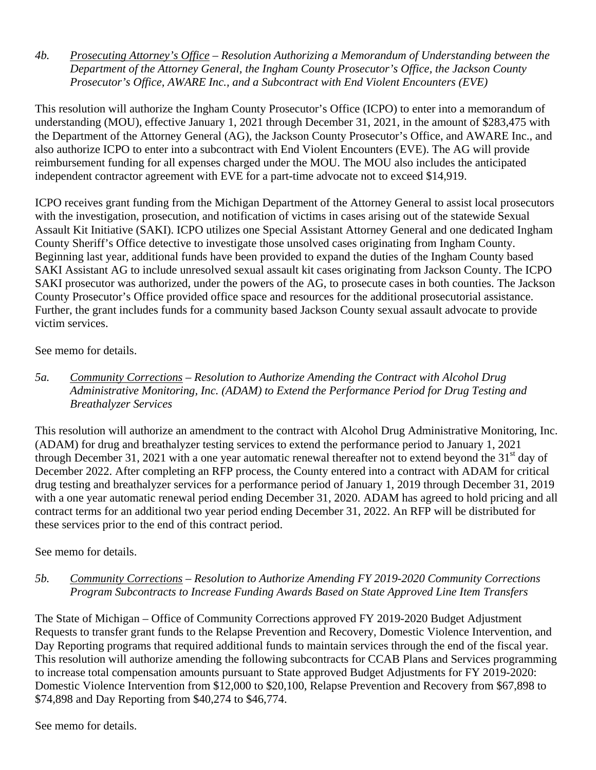*4b. Prosecuting Attorney's Office* – *Resolution Authorizing a Memorandum of Understanding between the Department of the Attorney General, the Ingham County Prosecutor's Office, the Jackson County Prosecutor's Office, AWARE Inc., and a Subcontract with End Violent Encounters (EVE)*

This resolution will authorize the Ingham County Prosecutor's Office (ICPO) to enter into a memorandum of understanding (MOU), effective January 1, 2021 through December 31, 2021, in the amount of \$283,475 with the Department of the Attorney General (AG), the Jackson County Prosecutor's Office, and AWARE Inc., and also authorize ICPO to enter into a subcontract with End Violent Encounters (EVE). The AG will provide reimbursement funding for all expenses charged under the MOU. The MOU also includes the anticipated independent contractor agreement with EVE for a part-time advocate not to exceed \$14,919.

ICPO receives grant funding from the Michigan Department of the Attorney General to assist local prosecutors with the investigation, prosecution, and notification of victims in cases arising out of the statewide Sexual Assault Kit Initiative (SAKI). ICPO utilizes one Special Assistant Attorney General and one dedicated Ingham County Sheriff's Office detective to investigate those unsolved cases originating from Ingham County. Beginning last year, additional funds have been provided to expand the duties of the Ingham County based SAKI Assistant AG to include unresolved sexual assault kit cases originating from Jackson County. The ICPO SAKI prosecutor was authorized, under the powers of the AG, to prosecute cases in both counties. The Jackson County Prosecutor's Office provided office space and resources for the additional prosecutorial assistance. Further, the grant includes funds for a community based Jackson County sexual assault advocate to provide victim services.

### See memo for details.

*5a. Community Corrections – Resolution to Authorize Amending the Contract with Alcohol Drug Administrative Monitoring, Inc. (ADAM) to Extend the Performance Period for Drug Testing and Breathalyzer Services* 

This resolution will authorize an amendment to the contract with Alcohol Drug Administrative Monitoring, Inc. (ADAM) for drug and breathalyzer testing services to extend the performance period to January 1, 2021 through December 31, 2021 with a one year automatic renewal thereafter not to extend beyond the  $31<sup>st</sup>$  day of December 2022. After completing an RFP process, the County entered into a contract with ADAM for critical drug testing and breathalyzer services for a performance period of January 1, 2019 through December 31, 2019 with a one year automatic renewal period ending December 31, 2020. ADAM has agreed to hold pricing and all contract terms for an additional two year period ending December 31, 2022. An RFP will be distributed for these services prior to the end of this contract period.

### See memo for details.

### *5b. Community Corrections – Resolution to Authorize Amending FY 2019-2020 Community Corrections Program Subcontracts to Increase Funding Awards Based on State Approved Line Item Transfers*

The State of Michigan – Office of Community Corrections approved FY 2019-2020 Budget Adjustment Requests to transfer grant funds to the Relapse Prevention and Recovery, Domestic Violence Intervention, and Day Reporting programs that required additional funds to maintain services through the end of the fiscal year. This resolution will authorize amending the following subcontracts for CCAB Plans and Services programming to increase total compensation amounts pursuant to State approved Budget Adjustments for FY 2019-2020: Domestic Violence Intervention from \$12,000 to \$20,100, Relapse Prevention and Recovery from \$67,898 to \$74,898 and Day Reporting from \$40,274 to \$46,774.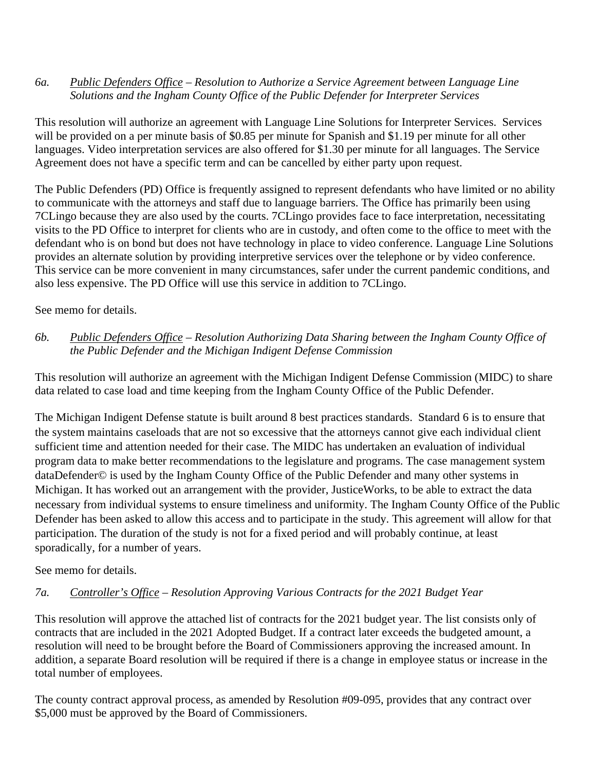#### *6a. Public Defenders Office – Resolution to Authorize a Service Agreement between Language Line Solutions and the Ingham County Office of the Public Defender for Interpreter Services*

This resolution will authorize an agreement with Language Line Solutions for Interpreter Services. Services will be provided on a per minute basis of \$0.85 per minute for Spanish and \$1.19 per minute for all other languages. Video interpretation services are also offered for \$1.30 per minute for all languages. The Service Agreement does not have a specific term and can be cancelled by either party upon request.

The Public Defenders (PD) Office is frequently assigned to represent defendants who have limited or no ability to communicate with the attorneys and staff due to language barriers. The Office has primarily been using 7CLingo because they are also used by the courts. 7CLingo provides face to face interpretation, necessitating visits to the PD Office to interpret for clients who are in custody, and often come to the office to meet with the defendant who is on bond but does not have technology in place to video conference. Language Line Solutions provides an alternate solution by providing interpretive services over the telephone or by video conference. This service can be more convenient in many circumstances, safer under the current pandemic conditions, and also less expensive. The PD Office will use this service in addition to 7CLingo.

### See memo for details.

### *6b. Public Defenders Office – Resolution Authorizing Data Sharing between the Ingham County Office of the Public Defender and the Michigan Indigent Defense Commission*

This resolution will authorize an agreement with the Michigan Indigent Defense Commission (MIDC) to share data related to case load and time keeping from the Ingham County Office of the Public Defender.

The Michigan Indigent Defense statute is built around 8 best practices standards. Standard 6 is to ensure that the system maintains caseloads that are not so excessive that the attorneys cannot give each individual client sufficient time and attention needed for their case. The MIDC has undertaken an evaluation of individual program data to make better recommendations to the legislature and programs. The case management system dataDefender© is used by the Ingham County Office of the Public Defender and many other systems in Michigan. It has worked out an arrangement with the provider, JusticeWorks, to be able to extract the data necessary from individual systems to ensure timeliness and uniformity. The Ingham County Office of the Public Defender has been asked to allow this access and to participate in the study. This agreement will allow for that participation. The duration of the study is not for a fixed period and will probably continue, at least sporadically, for a number of years.

### See memo for details.

### *7a. Controller's Office – Resolution Approving Various Contracts for the 2021 Budget Year*

This resolution will approve the attached list of contracts for the 2021 budget year. The list consists only of contracts that are included in the 2021 Adopted Budget. If a contract later exceeds the budgeted amount, a resolution will need to be brought before the Board of Commissioners approving the increased amount. In addition, a separate Board resolution will be required if there is a change in employee status or increase in the total number of employees.

The county contract approval process, as amended by Resolution #09-095, provides that any contract over \$5,000 must be approved by the Board of Commissioners.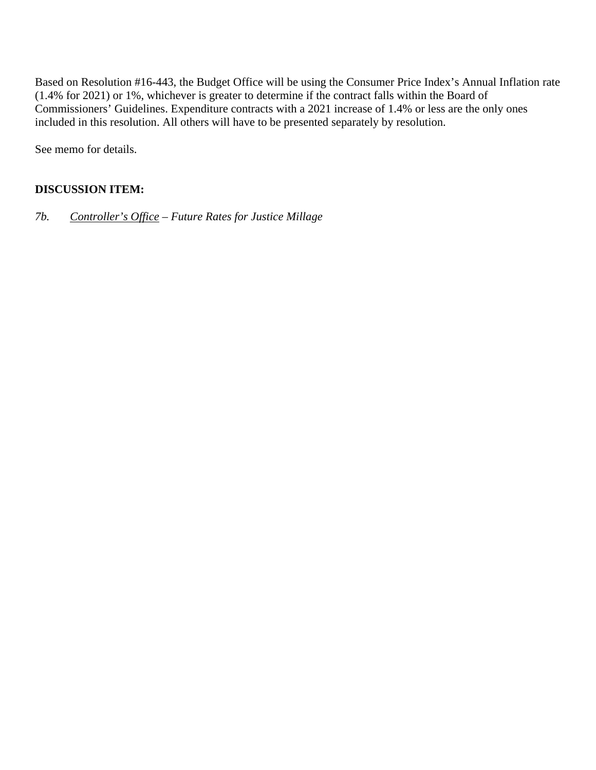Based on Resolution #16-443, the Budget Office will be using the Consumer Price Index's Annual Inflation rate (1.4% for 2021) or 1%, whichever is greater to determine if the contract falls within the Board of Commissioners' Guidelines. Expenditure contracts with a 2021 increase of 1.4% or less are the only ones included in this resolution. All others will have to be presented separately by resolution.

See memo for details.

### **DISCUSSION ITEM:**

*7b. Controller's Office – Future Rates for Justice Millage*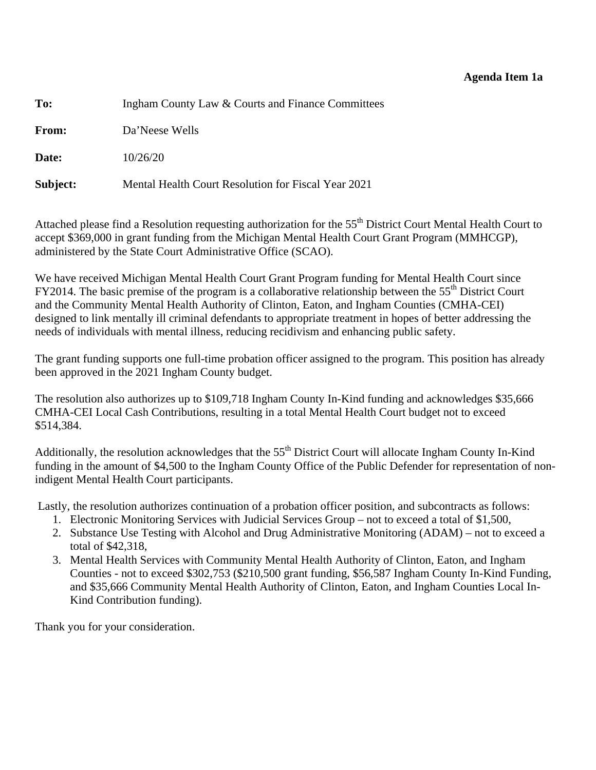#### **Agenda Item 1a**

<span id="page-10-0"></span>

| To:      | Ingham County Law & Courts and Finance Committees   |  |
|----------|-----------------------------------------------------|--|
| From:    | Da'Neese Wells                                      |  |
| Date:    | 10/26/20                                            |  |
| Subject: | Mental Health Court Resolution for Fiscal Year 2021 |  |

Attached please find a Resolution requesting authorization for the 55<sup>th</sup> District Court Mental Health Court to accept \$369,000 in grant funding from the Michigan Mental Health Court Grant Program (MMHCGP), administered by the State Court Administrative Office (SCAO).

We have received Michigan Mental Health Court Grant Program funding for Mental Health Court since  $FY2014$ . The basic premise of the program is a collaborative relationship between the  $55<sup>th</sup>$  District Court and the Community Mental Health Authority of Clinton, Eaton, and Ingham Counties (CMHA-CEI) designed to link mentally ill criminal defendants to appropriate treatment in hopes of better addressing the needs of individuals with mental illness, reducing recidivism and enhancing public safety.

The grant funding supports one full-time probation officer assigned to the program. This position has already been approved in the 2021 Ingham County budget.

The resolution also authorizes up to \$109,718 Ingham County In-Kind funding and acknowledges \$35,666 CMHA-CEI Local Cash Contributions, resulting in a total Mental Health Court budget not to exceed \$514,384.

Additionally, the resolution acknowledges that the 55<sup>th</sup> District Court will allocate Ingham County In-Kind funding in the amount of \$4,500 to the Ingham County Office of the Public Defender for representation of nonindigent Mental Health Court participants.

Lastly, the resolution authorizes continuation of a probation officer position, and subcontracts as follows:

- 1. Electronic Monitoring Services with Judicial Services Group not to exceed a total of \$1,500,
- 2. Substance Use Testing with Alcohol and Drug Administrative Monitoring (ADAM) not to exceed a total of \$42,318,
- 3. Mental Health Services with Community Mental Health Authority of Clinton, Eaton, and Ingham Counties - not to exceed \$302,753 (\$210,500 grant funding, \$56,587 Ingham County In-Kind Funding, and \$35,666 Community Mental Health Authority of Clinton, Eaton, and Ingham Counties Local In-Kind Contribution funding).

Thank you for your consideration.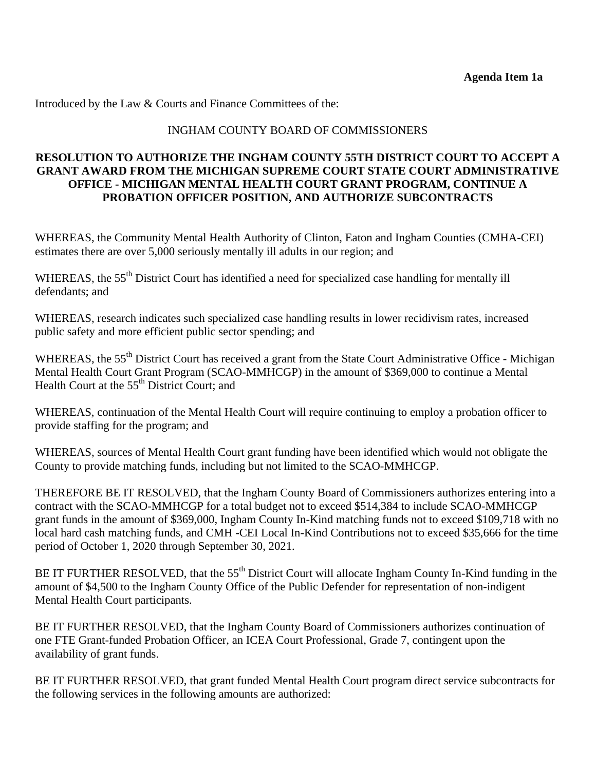### INGHAM COUNTY BOARD OF COMMISSIONERS

### **RESOLUTION TO AUTHORIZE THE INGHAM COUNTY 55TH DISTRICT COURT TO ACCEPT A GRANT AWARD FROM THE MICHIGAN SUPREME COURT STATE COURT ADMINISTRATIVE OFFICE - MICHIGAN MENTAL HEALTH COURT GRANT PROGRAM, CONTINUE A PROBATION OFFICER POSITION, AND AUTHORIZE SUBCONTRACTS**

WHEREAS, the Community Mental Health Authority of Clinton, Eaton and Ingham Counties (CMHA-CEI) estimates there are over 5,000 seriously mentally ill adults in our region; and

WHEREAS, the 55<sup>th</sup> District Court has identified a need for specialized case handling for mentally ill defendants; and

WHEREAS, research indicates such specialized case handling results in lower recidivism rates, increased public safety and more efficient public sector spending; and

WHEREAS, the 55<sup>th</sup> District Court has received a grant from the State Court Administrative Office - Michigan Mental Health Court Grant Program (SCAO-MMHCGP) in the amount of \$369,000 to continue a Mental Health Court at the 55<sup>th</sup> District Court; and

WHEREAS, continuation of the Mental Health Court will require continuing to employ a probation officer to provide staffing for the program; and

WHEREAS, sources of Mental Health Court grant funding have been identified which would not obligate the County to provide matching funds, including but not limited to the SCAO-MMHCGP.

THEREFORE BE IT RESOLVED, that the Ingham County Board of Commissioners authorizes entering into a contract with the SCAO-MMHCGP for a total budget not to exceed \$514,384 to include SCAO-MMHCGP grant funds in the amount of \$369,000, Ingham County In-Kind matching funds not to exceed \$109,718 with no local hard cash matching funds, and CMH -CEI Local In-Kind Contributions not to exceed \$35,666 for the time period of October 1, 2020 through September 30, 2021.

BE IT FURTHER RESOLVED, that the 55<sup>th</sup> District Court will allocate Ingham County In-Kind funding in the amount of \$4,500 to the Ingham County Office of the Public Defender for representation of non-indigent Mental Health Court participants.

BE IT FURTHER RESOLVED, that the Ingham County Board of Commissioners authorizes continuation of one FTE Grant-funded Probation Officer, an ICEA Court Professional, Grade 7, contingent upon the availability of grant funds.

BE IT FURTHER RESOLVED, that grant funded Mental Health Court program direct service subcontracts for the following services in the following amounts are authorized: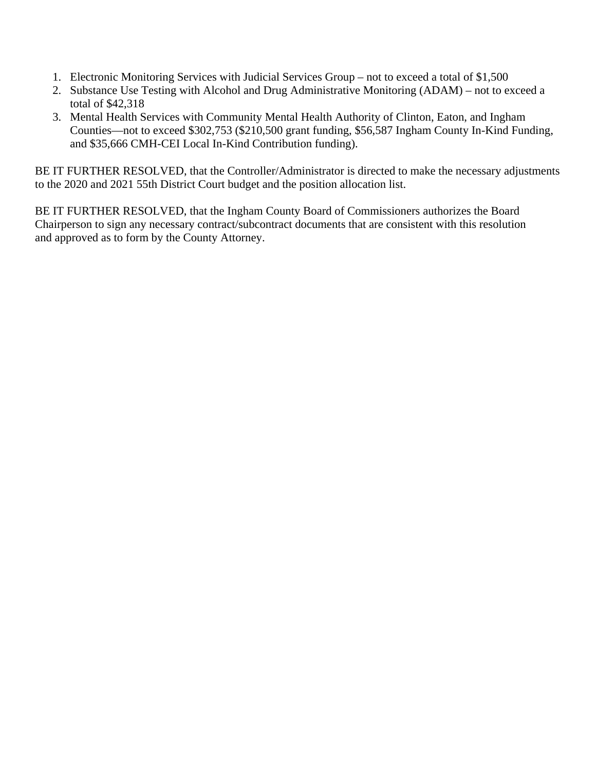- 1. Electronic Monitoring Services with Judicial Services Group not to exceed a total of \$1,500
- 2. Substance Use Testing with Alcohol and Drug Administrative Monitoring (ADAM) not to exceed a total of \$42,318
- 3. Mental Health Services with Community Mental Health Authority of Clinton, Eaton, and Ingham Counties—not to exceed \$302,753 (\$210,500 grant funding, \$56,587 Ingham County In-Kind Funding, and \$35,666 CMH-CEI Local In-Kind Contribution funding).

BE IT FURTHER RESOLVED, that the Controller/Administrator is directed to make the necessary adjustments to the 2020 and 2021 55th District Court budget and the position allocation list.

BE IT FURTHER RESOLVED, that the Ingham County Board of Commissioners authorizes the Board Chairperson to sign any necessary contract/subcontract documents that are consistent with this resolution and approved as to form by the County Attorney.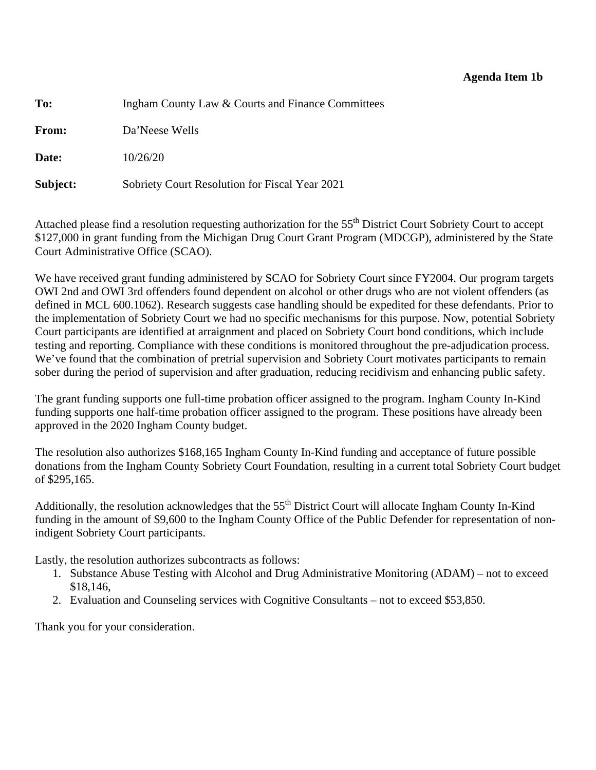#### **Agenda Item 1b**

<span id="page-13-0"></span>**To:** Ingham County Law & Courts and Finance Committees **From:** Da'Neese Wells **Date:** 10/26/20 **Subject:** Sobriety Court Resolution for Fiscal Year 2021

Attached please find a resolution requesting authorization for the 55<sup>th</sup> District Court Sobriety Court to accept \$127,000 in grant funding from the Michigan Drug Court Grant Program (MDCGP), administered by the State Court Administrative Office (SCAO).

We have received grant funding administered by SCAO for Sobriety Court since FY2004. Our program targets OWI 2nd and OWI 3rd offenders found dependent on alcohol or other drugs who are not violent offenders (as defined in MCL 600.1062). Research suggests case handling should be expedited for these defendants. Prior to the implementation of Sobriety Court we had no specific mechanisms for this purpose. Now, potential Sobriety Court participants are identified at arraignment and placed on Sobriety Court bond conditions, which include testing and reporting. Compliance with these conditions is monitored throughout the pre-adjudication process. We've found that the combination of pretrial supervision and Sobriety Court motivates participants to remain sober during the period of supervision and after graduation, reducing recidivism and enhancing public safety.

The grant funding supports one full-time probation officer assigned to the program. Ingham County In-Kind funding supports one half-time probation officer assigned to the program. These positions have already been approved in the 2020 Ingham County budget.

The resolution also authorizes \$168,165 Ingham County In-Kind funding and acceptance of future possible donations from the Ingham County Sobriety Court Foundation, resulting in a current total Sobriety Court budget of \$295,165.

Additionally, the resolution acknowledges that the 55<sup>th</sup> District Court will allocate Ingham County In-Kind funding in the amount of \$9,600 to the Ingham County Office of the Public Defender for representation of nonindigent Sobriety Court participants.

Lastly, the resolution authorizes subcontracts as follows:

- 1. Substance Abuse Testing with Alcohol and Drug Administrative Monitoring (ADAM) not to exceed \$18,146,
- 2. Evaluation and Counseling services with Cognitive Consultants not to exceed \$53,850.

Thank you for your consideration.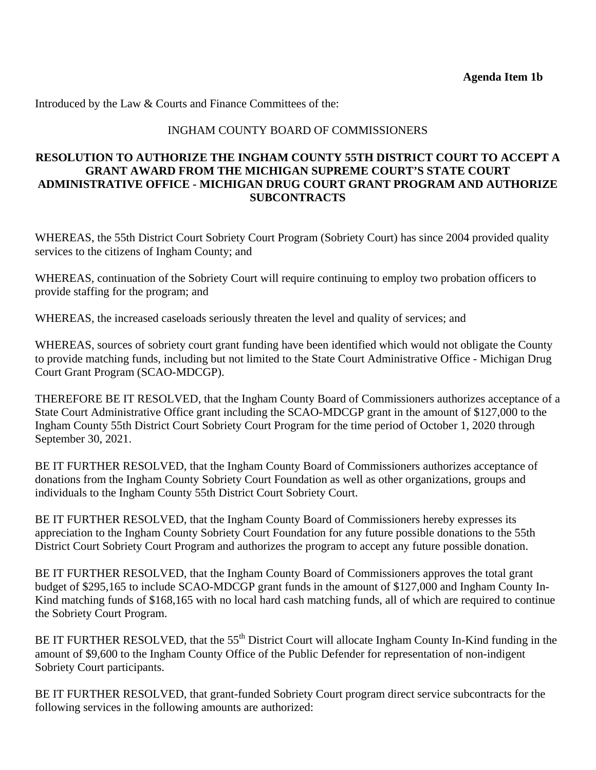#### INGHAM COUNTY BOARD OF COMMISSIONERS

#### **RESOLUTION TO AUTHORIZE THE INGHAM COUNTY 55TH DISTRICT COURT TO ACCEPT A GRANT AWARD FROM THE MICHIGAN SUPREME COURT'S STATE COURT ADMINISTRATIVE OFFICE - MICHIGAN DRUG COURT GRANT PROGRAM AND AUTHORIZE SUBCONTRACTS**

WHEREAS, the 55th District Court Sobriety Court Program (Sobriety Court) has since 2004 provided quality services to the citizens of Ingham County; and

WHEREAS, continuation of the Sobriety Court will require continuing to employ two probation officers to provide staffing for the program; and

WHEREAS, the increased caseloads seriously threaten the level and quality of services; and

WHEREAS, sources of sobriety court grant funding have been identified which would not obligate the County to provide matching funds, including but not limited to the State Court Administrative Office - Michigan Drug Court Grant Program (SCAO-MDCGP).

THEREFORE BE IT RESOLVED, that the Ingham County Board of Commissioners authorizes acceptance of a State Court Administrative Office grant including the SCAO-MDCGP grant in the amount of \$127,000 to the Ingham County 55th District Court Sobriety Court Program for the time period of October 1, 2020 through September 30, 2021.

BE IT FURTHER RESOLVED, that the Ingham County Board of Commissioners authorizes acceptance of donations from the Ingham County Sobriety Court Foundation as well as other organizations, groups and individuals to the Ingham County 55th District Court Sobriety Court.

BE IT FURTHER RESOLVED, that the Ingham County Board of Commissioners hereby expresses its appreciation to the Ingham County Sobriety Court Foundation for any future possible donations to the 55th District Court Sobriety Court Program and authorizes the program to accept any future possible donation.

BE IT FURTHER RESOLVED, that the Ingham County Board of Commissioners approves the total grant budget of \$295,165 to include SCAO-MDCGP grant funds in the amount of \$127,000 and Ingham County In-Kind matching funds of \$168,165 with no local hard cash matching funds, all of which are required to continue the Sobriety Court Program.

BE IT FURTHER RESOLVED, that the 55<sup>th</sup> District Court will allocate Ingham County In-Kind funding in the amount of \$9,600 to the Ingham County Office of the Public Defender for representation of non-indigent Sobriety Court participants.

BE IT FURTHER RESOLVED, that grant-funded Sobriety Court program direct service subcontracts for the following services in the following amounts are authorized: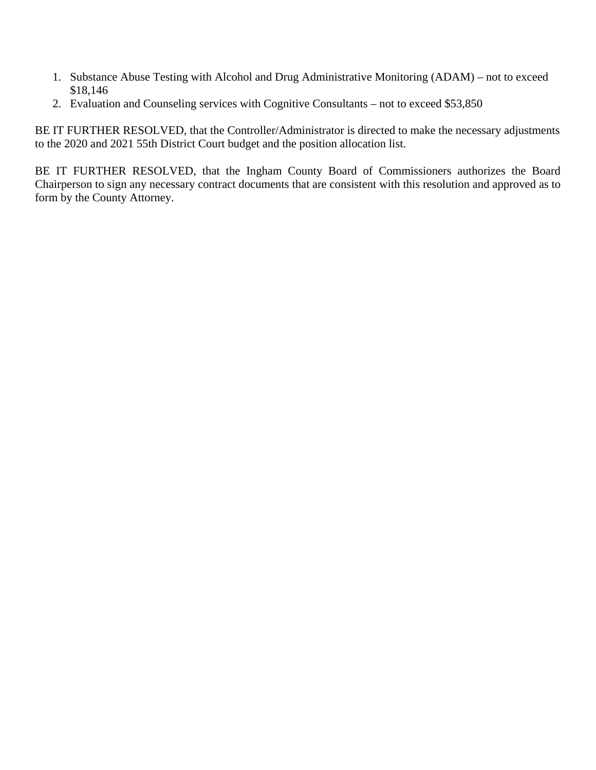- 1. Substance Abuse Testing with Alcohol and Drug Administrative Monitoring (ADAM) not to exceed \$18,146
- 2. Evaluation and Counseling services with Cognitive Consultants not to exceed \$53,850

BE IT FURTHER RESOLVED, that the Controller/Administrator is directed to make the necessary adjustments to the 2020 and 2021 55th District Court budget and the position allocation list.

BE IT FURTHER RESOLVED, that the Ingham County Board of Commissioners authorizes the Board Chairperson to sign any necessary contract documents that are consistent with this resolution and approved as to form by the County Attorney.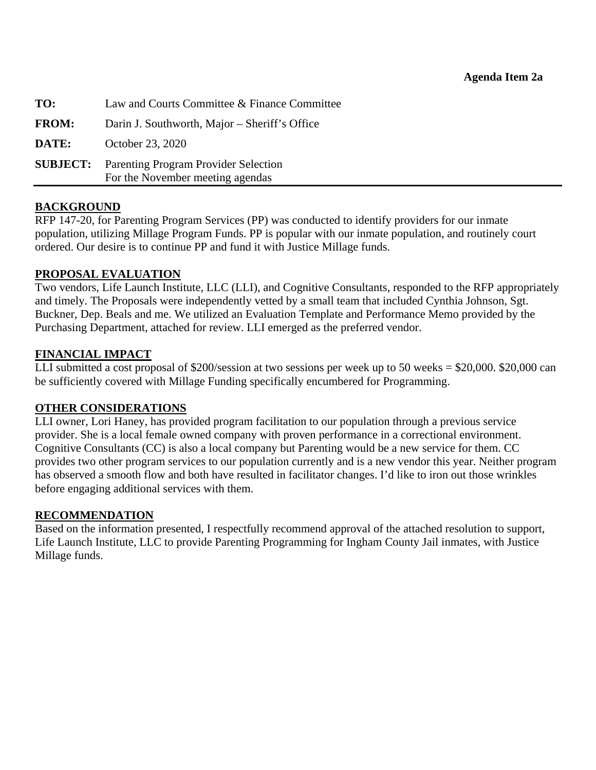<span id="page-16-0"></span>

| TO:          | Law and Courts Committee & Finance Committee                                             |
|--------------|------------------------------------------------------------------------------------------|
| <b>FROM:</b> | Darin J. Southworth, Major – Sheriff's Office                                            |
| DATE:        | October 23, 2020                                                                         |
|              | <b>SUBJECT:</b> Parenting Program Provider Selection<br>For the November meeting agendas |

#### **BACKGROUND**

RFP 147-20, for Parenting Program Services (PP) was conducted to identify providers for our inmate population, utilizing Millage Program Funds. PP is popular with our inmate population, and routinely court ordered. Our desire is to continue PP and fund it with Justice Millage funds.

#### **PROPOSAL EVALUATION**

Two vendors, Life Launch Institute, LLC (LLI), and Cognitive Consultants, responded to the RFP appropriately and timely. The Proposals were independently vetted by a small team that included Cynthia Johnson, Sgt. Buckner, Dep. Beals and me. We utilized an Evaluation Template and Performance Memo provided by the Purchasing Department, attached for review. LLI emerged as the preferred vendor.

#### **FINANCIAL IMPACT**

LLI submitted a cost proposal of \$200/session at two sessions per week up to 50 weeks = \$20,000. \$20,000 can be sufficiently covered with Millage Funding specifically encumbered for Programming.

#### **OTHER CONSIDERATIONS**

LLI owner, Lori Haney, has provided program facilitation to our population through a previous service provider. She is a local female owned company with proven performance in a correctional environment. Cognitive Consultants (CC) is also a local company but Parenting would be a new service for them. CC provides two other program services to our population currently and is a new vendor this year. Neither program has observed a smooth flow and both have resulted in facilitator changes. I'd like to iron out those wrinkles before engaging additional services with them.

#### **RECOMMENDATION**

Based on the information presented, I respectfully recommend approval of the attached resolution to support, Life Launch Institute, LLC to provide Parenting Programming for Ingham County Jail inmates, with Justice Millage funds.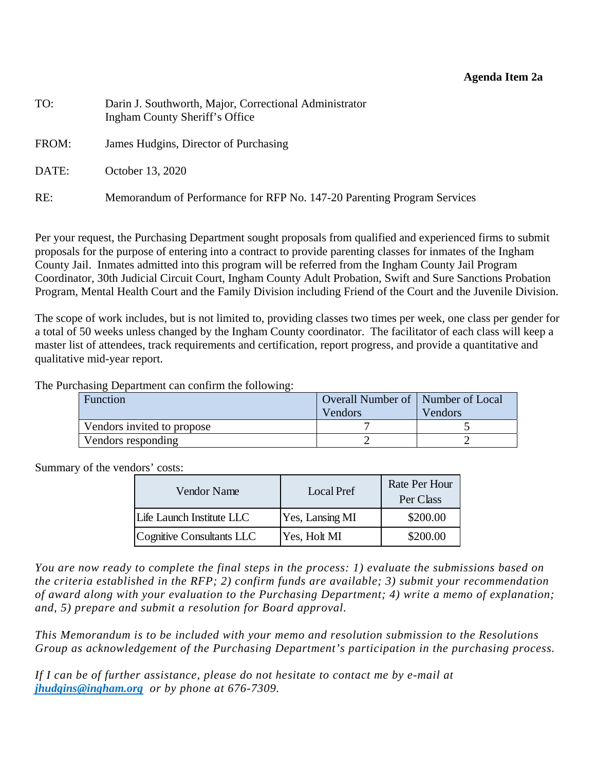#### **Agenda Item 2a**

| TO:   | Darin J. Southworth, Major, Correctional Administrator<br>Ingham County Sheriff's Office |
|-------|------------------------------------------------------------------------------------------|
| FROM: | James Hudgins, Director of Purchasing                                                    |
| DATE: | October 13, 2020                                                                         |
| RE:   | Memorandum of Performance for RFP No. 147-20 Parenting Program Services                  |

Per your request, the Purchasing Department sought proposals from qualified and experienced firms to submit proposals for the purpose of entering into a contract to provide parenting classes for inmates of the Ingham County Jail. Inmates admitted into this program will be referred from the Ingham County Jail Program Coordinator, 30th Judicial Circuit Court, Ingham County Adult Probation, Swift and Sure Sanctions Probation Program, Mental Health Court and the Family Division including Friend of the Court and the Juvenile Division.

The scope of work includes, but is not limited to, providing classes two times per week, one class per gender for a total of 50 weeks unless changed by the Ingham County coordinator. The facilitator of each class will keep a master list of attendees, track requirements and certification, report progress, and provide a quantitative and qualitative mid-year report.

The Purchasing Department can confirm the following:

| Function                   | Overall Number of   Number of Local |         |
|----------------------------|-------------------------------------|---------|
|                            | Vendors                             | Vendors |
| Vendors invited to propose |                                     |         |
| Vendors responding         |                                     |         |

Summary of the vendors' costs:

| Vendor Name               | Local Pref      | Rate Per Hour<br>Per Class |
|---------------------------|-----------------|----------------------------|
| Life Launch Institute LLC | Yes, Lansing MI | \$200.00                   |
| Cognitive Consultants LLC | Yes, Holt MI    | \$200.00                   |

*You are now ready to complete the final steps in the process: 1) evaluate the submissions based on the criteria established in the RFP; 2) confirm funds are available; 3) submit your recommendation of award along with your evaluation to the Purchasing Department; 4) write a memo of explanation; and, 5) prepare and submit a resolution for Board approval.* 

*This Memorandum is to be included with your memo and resolution submission to the Resolutions Group as acknowledgement of the Purchasing Department's participation in the purchasing process.* 

*If I can be of further assistance, please do not hesitate to contact me by e-mail at jhudgins@ingham.org or by phone at 676-7309.*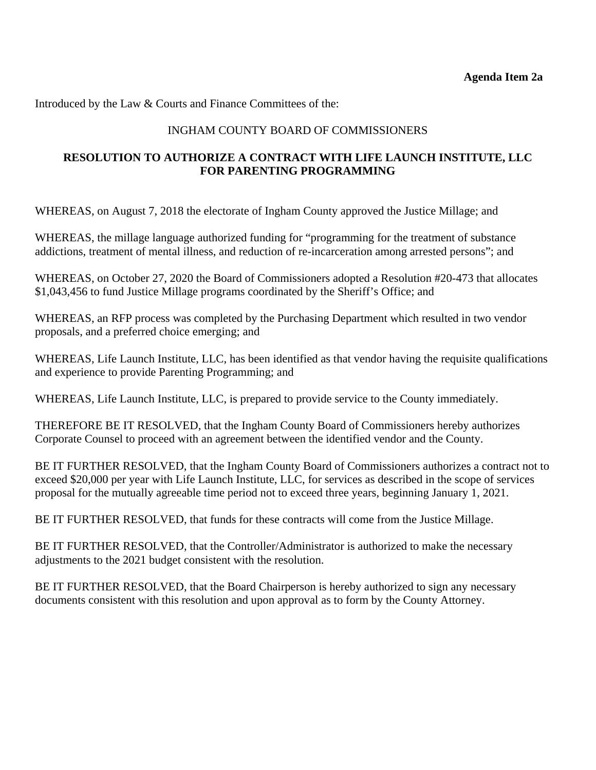### INGHAM COUNTY BOARD OF COMMISSIONERS

### **RESOLUTION TO AUTHORIZE A CONTRACT WITH LIFE LAUNCH INSTITUTE, LLC FOR PARENTING PROGRAMMING**

WHEREAS, on August 7, 2018 the electorate of Ingham County approved the Justice Millage; and

WHEREAS, the millage language authorized funding for "programming for the treatment of substance addictions, treatment of mental illness, and reduction of re-incarceration among arrested persons"; and

WHEREAS, on October 27, 2020 the Board of Commissioners adopted a Resolution #20-473 that allocates \$1,043,456 to fund Justice Millage programs coordinated by the Sheriff's Office; and

WHEREAS, an RFP process was completed by the Purchasing Department which resulted in two vendor proposals, and a preferred choice emerging; and

WHEREAS, Life Launch Institute, LLC, has been identified as that vendor having the requisite qualifications and experience to provide Parenting Programming; and

WHEREAS, Life Launch Institute, LLC, is prepared to provide service to the County immediately.

THEREFORE BE IT RESOLVED, that the Ingham County Board of Commissioners hereby authorizes Corporate Counsel to proceed with an agreement between the identified vendor and the County.

BE IT FURTHER RESOLVED, that the Ingham County Board of Commissioners authorizes a contract not to exceed \$20,000 per year with Life Launch Institute, LLC, for services as described in the scope of services proposal for the mutually agreeable time period not to exceed three years, beginning January 1, 2021.

BE IT FURTHER RESOLVED, that funds for these contracts will come from the Justice Millage.

BE IT FURTHER RESOLVED, that the Controller/Administrator is authorized to make the necessary adjustments to the 2021 budget consistent with the resolution.

BE IT FURTHER RESOLVED, that the Board Chairperson is hereby authorized to sign any necessary documents consistent with this resolution and upon approval as to form by the County Attorney.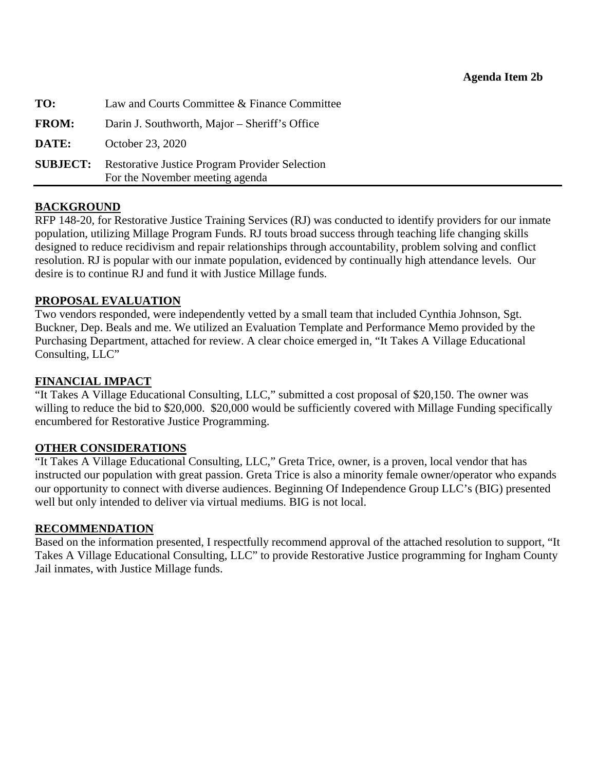<span id="page-19-0"></span>

| TO:          | Law and Courts Committee & Finance Committee                                                      |
|--------------|---------------------------------------------------------------------------------------------------|
| <b>FROM:</b> | Darin J. Southworth, Major – Sheriff's Office                                                     |
| <b>DATE:</b> | October 23, 2020                                                                                  |
|              | <b>SUBJECT:</b> Restorative Justice Program Provider Selection<br>For the November meeting agenda |

#### **BACKGROUND**

RFP 148-20, for Restorative Justice Training Services (RJ) was conducted to identify providers for our inmate population, utilizing Millage Program Funds. RJ touts broad success through teaching life changing skills designed to reduce recidivism and repair relationships through accountability, problem solving and conflict resolution. RJ is popular with our inmate population, evidenced by continually high attendance levels. Our desire is to continue RJ and fund it with Justice Millage funds.

### **PROPOSAL EVALUATION**

Two vendors responded, were independently vetted by a small team that included Cynthia Johnson, Sgt. Buckner, Dep. Beals and me. We utilized an Evaluation Template and Performance Memo provided by the Purchasing Department, attached for review. A clear choice emerged in, "It Takes A Village Educational Consulting, LLC"

### **FINANCIAL IMPACT**

"It Takes A Village Educational Consulting, LLC," submitted a cost proposal of \$20,150. The owner was willing to reduce the bid to \$20,000. \$20,000 would be sufficiently covered with Millage Funding specifically encumbered for Restorative Justice Programming.

### **OTHER CONSIDERATIONS**

"It Takes A Village Educational Consulting, LLC," Greta Trice, owner, is a proven, local vendor that has instructed our population with great passion. Greta Trice is also a minority female owner/operator who expands our opportunity to connect with diverse audiences. Beginning Of Independence Group LLC's (BIG) presented well but only intended to deliver via virtual mediums. BIG is not local.

### **RECOMMENDATION**

Based on the information presented, I respectfully recommend approval of the attached resolution to support, "It Takes A Village Educational Consulting, LLC" to provide Restorative Justice programming for Ingham County Jail inmates, with Justice Millage funds.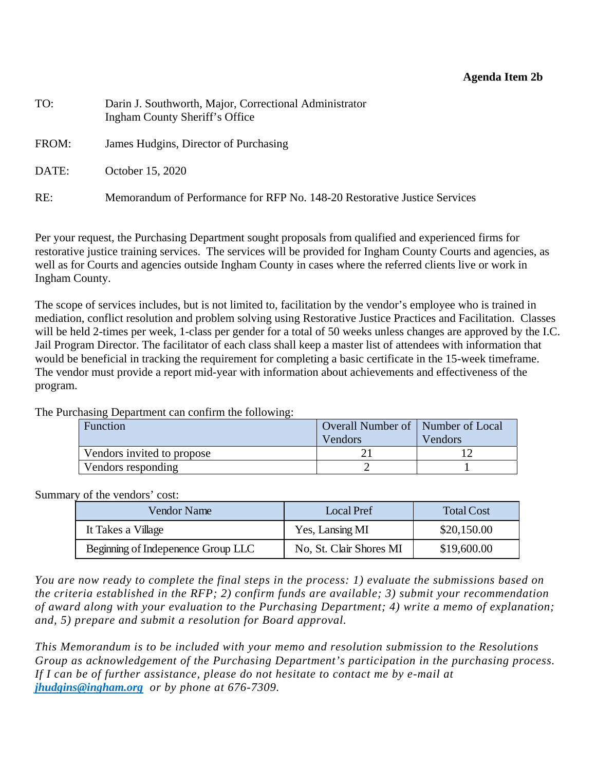#### **Agenda Item 2b**

| TO:   | Darin J. Southworth, Major, Correctional Administrator<br>Ingham County Sheriff's Office |
|-------|------------------------------------------------------------------------------------------|
| FROM: | James Hudgins, Director of Purchasing                                                    |
| DATE: | October 15, 2020                                                                         |
| RE:   | Memorandum of Performance for RFP No. 148-20 Restorative Justice Services                |

Per your request, the Purchasing Department sought proposals from qualified and experienced firms for restorative justice training services. The services will be provided for Ingham County Courts and agencies, as well as for Courts and agencies outside Ingham County in cases where the referred clients live or work in Ingham County.

The scope of services includes, but is not limited to, facilitation by the vendor's employee who is trained in mediation, conflict resolution and problem solving using Restorative Justice Practices and Facilitation. Classes will be held 2-times per week, 1-class per gender for a total of 50 weeks unless changes are approved by the I.C. Jail Program Director. The facilitator of each class shall keep a master list of attendees with information that would be beneficial in tracking the requirement for completing a basic certificate in the 15-week timeframe. The vendor must provide a report mid-year with information about achievements and effectiveness of the program.

The Purchasing Department can confirm the following:

| Function                   | Overall Number of   Number of Local<br>Vendors | Vendors |
|----------------------------|------------------------------------------------|---------|
| Vendors invited to propose |                                                |         |
| Vendors responding         |                                                |         |

#### Summary of the vendors' cost:

| Vendor Name                        | Local Pref              | <b>Total Cost</b> |
|------------------------------------|-------------------------|-------------------|
| It Takes a Village                 | Yes, Lansing MI         | \$20,150.00       |
| Beginning of Indepenence Group LLC | No, St. Clair Shores MI | \$19,600.00       |

*You are now ready to complete the final steps in the process: 1) evaluate the submissions based on the criteria established in the RFP; 2) confirm funds are available; 3) submit your recommendation of award along with your evaluation to the Purchasing Department; 4) write a memo of explanation; and, 5) prepare and submit a resolution for Board approval.* 

*This Memorandum is to be included with your memo and resolution submission to the Resolutions Group as acknowledgement of the Purchasing Department's participation in the purchasing process. If I can be of further assistance, please do not hesitate to contact me by e-mail at jhudgins@ingham.org or by phone at 676-7309.*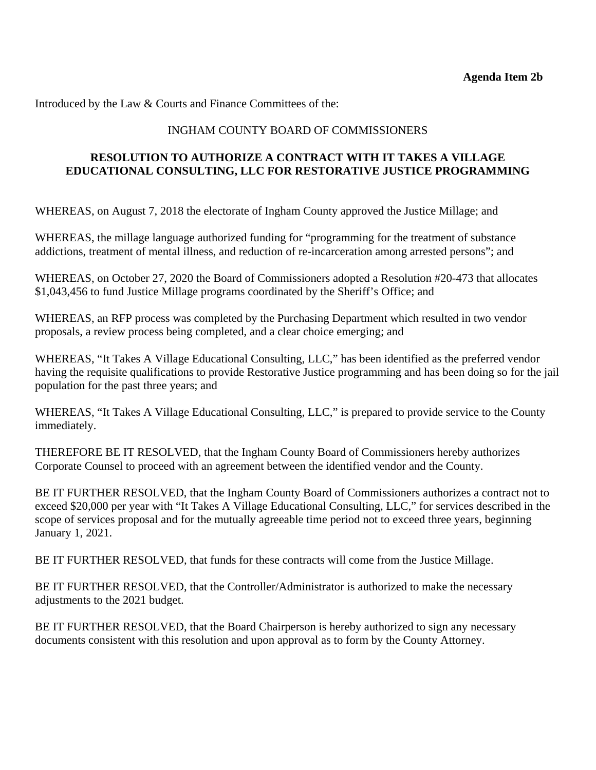### INGHAM COUNTY BOARD OF COMMISSIONERS

### **RESOLUTION TO AUTHORIZE A CONTRACT WITH IT TAKES A VILLAGE EDUCATIONAL CONSULTING, LLC FOR RESTORATIVE JUSTICE PROGRAMMING**

WHEREAS, on August 7, 2018 the electorate of Ingham County approved the Justice Millage; and

WHEREAS, the millage language authorized funding for "programming for the treatment of substance addictions, treatment of mental illness, and reduction of re-incarceration among arrested persons"; and

WHEREAS, on October 27, 2020 the Board of Commissioners adopted a Resolution #20-473 that allocates \$1,043,456 to fund Justice Millage programs coordinated by the Sheriff's Office; and

WHEREAS, an RFP process was completed by the Purchasing Department which resulted in two vendor proposals, a review process being completed, and a clear choice emerging; and

WHEREAS, "It Takes A Village Educational Consulting, LLC," has been identified as the preferred vendor having the requisite qualifications to provide Restorative Justice programming and has been doing so for the jail population for the past three years; and

WHEREAS, "It Takes A Village Educational Consulting, LLC," is prepared to provide service to the County immediately.

THEREFORE BE IT RESOLVED, that the Ingham County Board of Commissioners hereby authorizes Corporate Counsel to proceed with an agreement between the identified vendor and the County.

BE IT FURTHER RESOLVED, that the Ingham County Board of Commissioners authorizes a contract not to exceed \$20,000 per year with "It Takes A Village Educational Consulting, LLC," for services described in the scope of services proposal and for the mutually agreeable time period not to exceed three years, beginning January 1, 2021.

BE IT FURTHER RESOLVED, that funds for these contracts will come from the Justice Millage.

BE IT FURTHER RESOLVED, that the Controller/Administrator is authorized to make the necessary adjustments to the 2021 budget.

BE IT FURTHER RESOLVED, that the Board Chairperson is hereby authorized to sign any necessary documents consistent with this resolution and upon approval as to form by the County Attorney.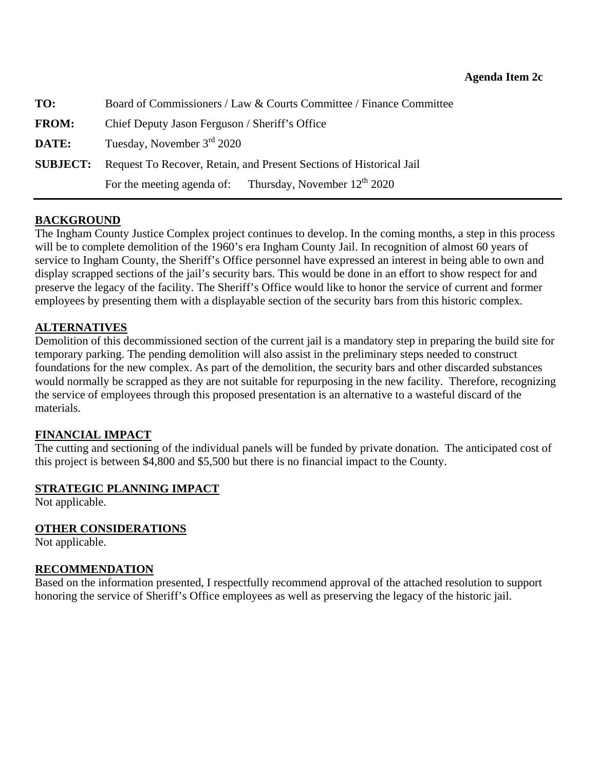<span id="page-22-0"></span>

| TO:          | Board of Commissioners / Law & Courts Committee / Finance Committee                 |  |
|--------------|-------------------------------------------------------------------------------------|--|
| <b>FROM:</b> | Chief Deputy Jason Ferguson / Sheriff's Office                                      |  |
| DATE:        | Tuesday, November $3rd$ 2020                                                        |  |
|              | <b>SUBJECT:</b> Request To Recover, Retain, and Present Sections of Historical Jail |  |
|              | For the meeting agenda of: Thursday, November $12^{th}$ 2020                        |  |

### **BACKGROUND**

The Ingham County Justice Complex project continues to develop. In the coming months, a step in this process will be to complete demolition of the 1960's era Ingham County Jail. In recognition of almost 60 years of service to Ingham County, the Sheriff's Office personnel have expressed an interest in being able to own and display scrapped sections of the jail's security bars. This would be done in an effort to show respect for and preserve the legacy of the facility. The Sheriff's Office would like to honor the service of current and former employees by presenting them with a displayable section of the security bars from this historic complex.

#### **ALTERNATIVES**

Demolition of this decommissioned section of the current jail is a mandatory step in preparing the build site for temporary parking. The pending demolition will also assist in the preliminary steps needed to construct foundations for the new complex. As part of the demolition, the security bars and other discarded substances would normally be scrapped as they are not suitable for repurposing in the new facility. Therefore, recognizing the service of employees through this proposed presentation is an alternative to a wasteful discard of the materials.

#### **FINANCIAL IMPACT**

The cutting and sectioning of the individual panels will be funded by private donation. The anticipated cost of this project is between \$4,800 and \$5,500 but there is no financial impact to the County.

#### **STRATEGIC PLANNING IMPACT**

Not applicable.

#### **OTHER CONSIDERATIONS**

Not applicable.

#### **RECOMMENDATION**

Based on the information presented, I respectfully recommend approval of the attached resolution to support honoring the service of Sheriff's Office employees as well as preserving the legacy of the historic jail.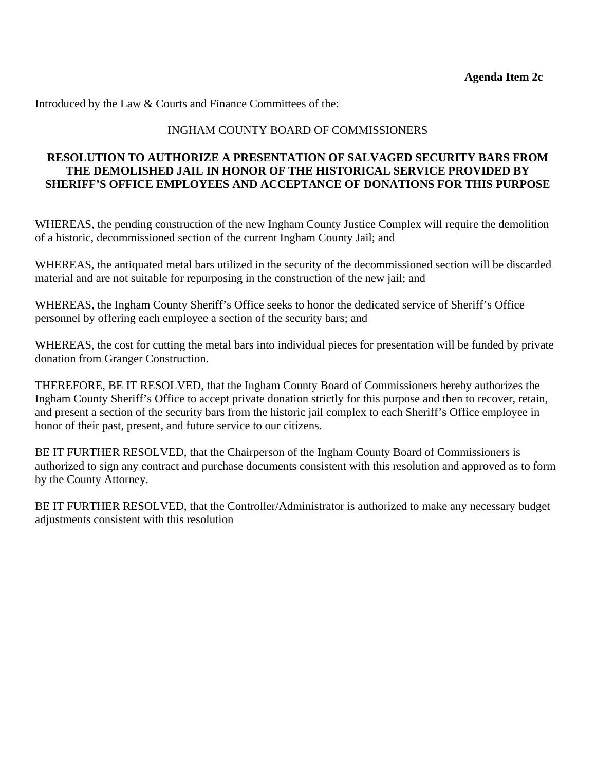#### INGHAM COUNTY BOARD OF COMMISSIONERS

#### **RESOLUTION TO AUTHORIZE A PRESENTATION OF SALVAGED SECURITY BARS FROM THE DEMOLISHED JAIL IN HONOR OF THE HISTORICAL SERVICE PROVIDED BY SHERIFF'S OFFICE EMPLOYEES AND ACCEPTANCE OF DONATIONS FOR THIS PURPOSE**

WHEREAS, the pending construction of the new Ingham County Justice Complex will require the demolition of a historic, decommissioned section of the current Ingham County Jail; and

WHEREAS, the antiquated metal bars utilized in the security of the decommissioned section will be discarded material and are not suitable for repurposing in the construction of the new jail; and

WHEREAS, the Ingham County Sheriff's Office seeks to honor the dedicated service of Sheriff's Office personnel by offering each employee a section of the security bars; and

WHEREAS, the cost for cutting the metal bars into individual pieces for presentation will be funded by private donation from Granger Construction.

THEREFORE, BE IT RESOLVED, that the Ingham County Board of Commissioners hereby authorizes the Ingham County Sheriff's Office to accept private donation strictly for this purpose and then to recover, retain, and present a section of the security bars from the historic jail complex to each Sheriff's Office employee in honor of their past, present, and future service to our citizens.

BE IT FURTHER RESOLVED, that the Chairperson of the Ingham County Board of Commissioners is authorized to sign any contract and purchase documents consistent with this resolution and approved as to form by the County Attorney.

BE IT FURTHER RESOLVED, that the Controller/Administrator is authorized to make any necessary budget adjustments consistent with this resolution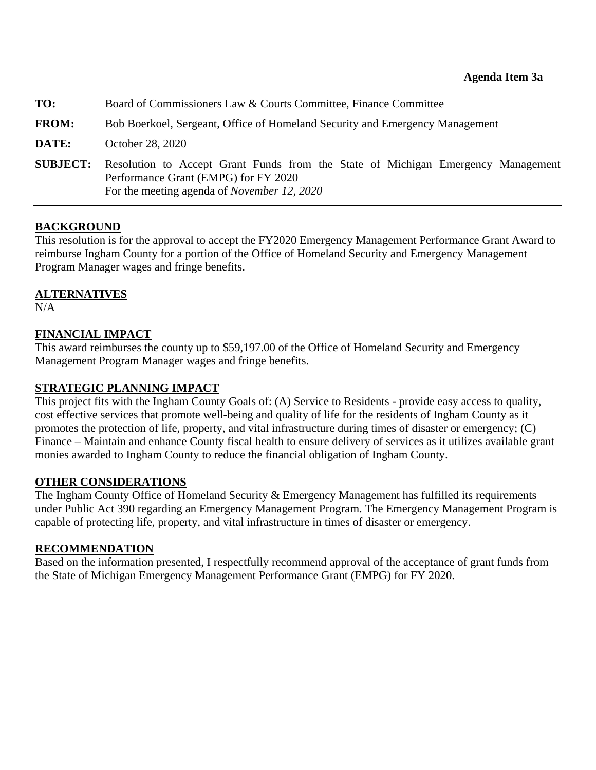<span id="page-24-0"></span>

| TO:             | Board of Commissioners Law & Courts Committee, Finance Committee                                                                                                                |  |
|-----------------|---------------------------------------------------------------------------------------------------------------------------------------------------------------------------------|--|
| <b>FROM:</b>    | Bob Boerkoel, Sergeant, Office of Homeland Security and Emergency Management                                                                                                    |  |
| DATE:           | October 28, 2020                                                                                                                                                                |  |
| <b>SUBJECT:</b> | Resolution to Accept Grant Funds from the State of Michigan Emergency Management<br>Performance Grant (EMPG) for FY 2020<br>For the meeting agenda of <i>November 12</i> , 2020 |  |

#### **BACKGROUND**

This resolution is for the approval to accept the FY2020 Emergency Management Performance Grant Award to reimburse Ingham County for a portion of the Office of Homeland Security and Emergency Management Program Manager wages and fringe benefits.

#### **ALTERNATIVES**

 $N/A$ 

### **FINANCIAL IMPACT**

This award reimburses the county up to \$59,197.00 of the Office of Homeland Security and Emergency Management Program Manager wages and fringe benefits.

#### **STRATEGIC PLANNING IMPACT**

This project fits with the Ingham County Goals of: (A) Service to Residents - provide easy access to quality, cost effective services that promote well-being and quality of life for the residents of Ingham County as it promotes the protection of life, property, and vital infrastructure during times of disaster or emergency; (C) Finance – Maintain and enhance County fiscal health to ensure delivery of services as it utilizes available grant monies awarded to Ingham County to reduce the financial obligation of Ingham County.

#### **OTHER CONSIDERATIONS**

The Ingham County Office of Homeland Security & Emergency Management has fulfilled its requirements under Public Act 390 regarding an Emergency Management Program. The Emergency Management Program is capable of protecting life, property, and vital infrastructure in times of disaster or emergency.

#### **RECOMMENDATION**

Based on the information presented, I respectfully recommend approval of the acceptance of grant funds from the State of Michigan Emergency Management Performance Grant (EMPG) for FY 2020.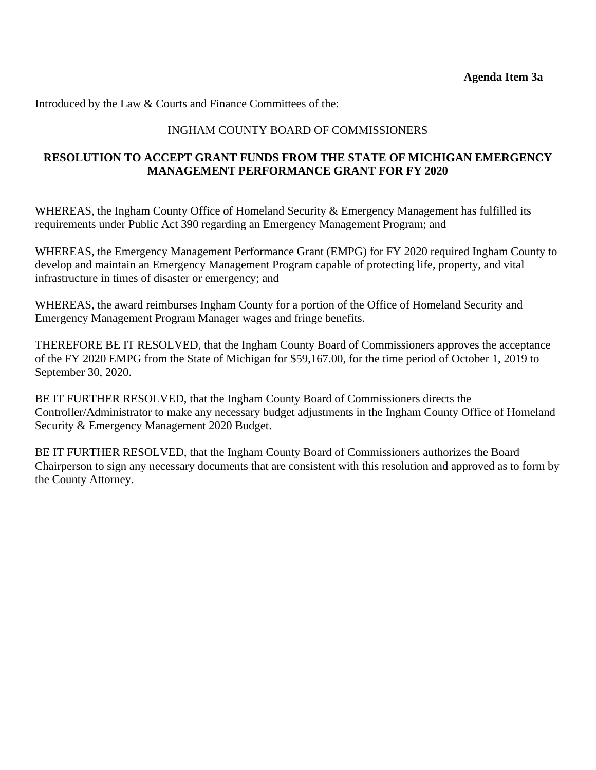### INGHAM COUNTY BOARD OF COMMISSIONERS

### **RESOLUTION TO ACCEPT GRANT FUNDS FROM THE STATE OF MICHIGAN EMERGENCY MANAGEMENT PERFORMANCE GRANT FOR FY 2020**

WHEREAS, the Ingham County Office of Homeland Security & Emergency Management has fulfilled its requirements under Public Act 390 regarding an Emergency Management Program; and

WHEREAS, the Emergency Management Performance Grant (EMPG) for FY 2020 required Ingham County to develop and maintain an Emergency Management Program capable of protecting life, property, and vital infrastructure in times of disaster or emergency; and

WHEREAS, the award reimburses Ingham County for a portion of the Office of Homeland Security and Emergency Management Program Manager wages and fringe benefits.

THEREFORE BE IT RESOLVED, that the Ingham County Board of Commissioners approves the acceptance of the FY 2020 EMPG from the State of Michigan for \$59,167.00, for the time period of October 1, 2019 to September 30, 2020.

BE IT FURTHER RESOLVED, that the Ingham County Board of Commissioners directs the Controller/Administrator to make any necessary budget adjustments in the Ingham County Office of Homeland Security & Emergency Management 2020 Budget.

BE IT FURTHER RESOLVED, that the Ingham County Board of Commissioners authorizes the Board Chairperson to sign any necessary documents that are consistent with this resolution and approved as to form by the County Attorney.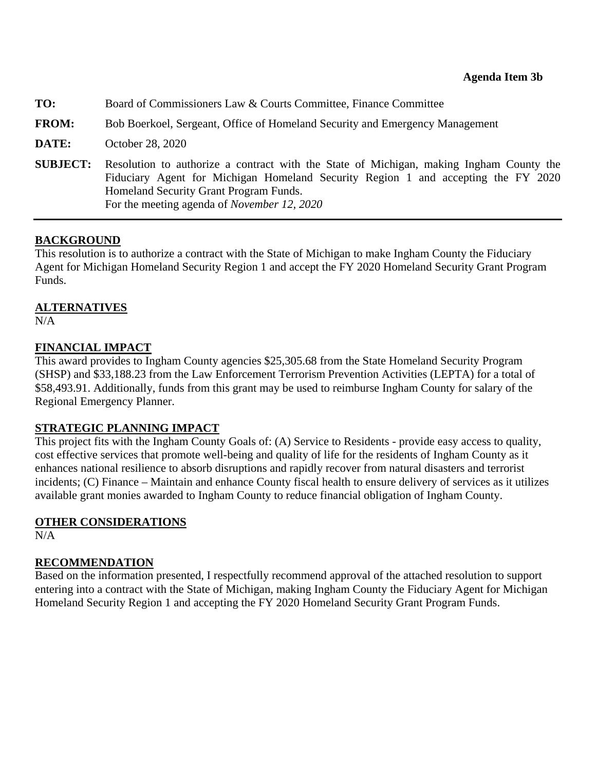<span id="page-26-0"></span>

| TO:             | Board of Commissioners Law & Courts Committee, Finance Committee                                                                                                                                                                                                              |
|-----------------|-------------------------------------------------------------------------------------------------------------------------------------------------------------------------------------------------------------------------------------------------------------------------------|
| <b>FROM:</b>    | Bob Boerkoel, Sergeant, Office of Homeland Security and Emergency Management                                                                                                                                                                                                  |
| DATE:           | October 28, 2020                                                                                                                                                                                                                                                              |
| <b>SUBJECT:</b> | Resolution to authorize a contract with the State of Michigan, making Ingham County the<br>Fiduciary Agent for Michigan Homeland Security Region 1 and accepting the FY 2020<br>Homeland Security Grant Program Funds.<br>For the meeting agenda of <i>November 12</i> , 2020 |

### **BACKGROUND**

This resolution is to authorize a contract with the State of Michigan to make Ingham County the Fiduciary Agent for Michigan Homeland Security Region 1 and accept the FY 2020 Homeland Security Grant Program Funds.

### **ALTERNATIVES**

N/A

### **FINANCIAL IMPACT**

This award provides to Ingham County agencies \$25,305.68 from the State Homeland Security Program (SHSP) and \$33,188.23 from the Law Enforcement Terrorism Prevention Activities (LEPTA) for a total of \$58,493.91. Additionally, funds from this grant may be used to reimburse Ingham County for salary of the Regional Emergency Planner.

### **STRATEGIC PLANNING IMPACT**

This project fits with the Ingham County Goals of: (A) Service to Residents - provide easy access to quality, cost effective services that promote well-being and quality of life for the residents of Ingham County as it enhances national resilience to absorb disruptions and rapidly recover from natural disasters and terrorist incidents; (C) Finance – Maintain and enhance County fiscal health to ensure delivery of services as it utilizes available grant monies awarded to Ingham County to reduce financial obligation of Ingham County.

### **OTHER CONSIDERATIONS**

N/A

### **RECOMMENDATION**

Based on the information presented, I respectfully recommend approval of the attached resolution to support entering into a contract with the State of Michigan, making Ingham County the Fiduciary Agent for Michigan Homeland Security Region 1 and accepting the FY 2020 Homeland Security Grant Program Funds.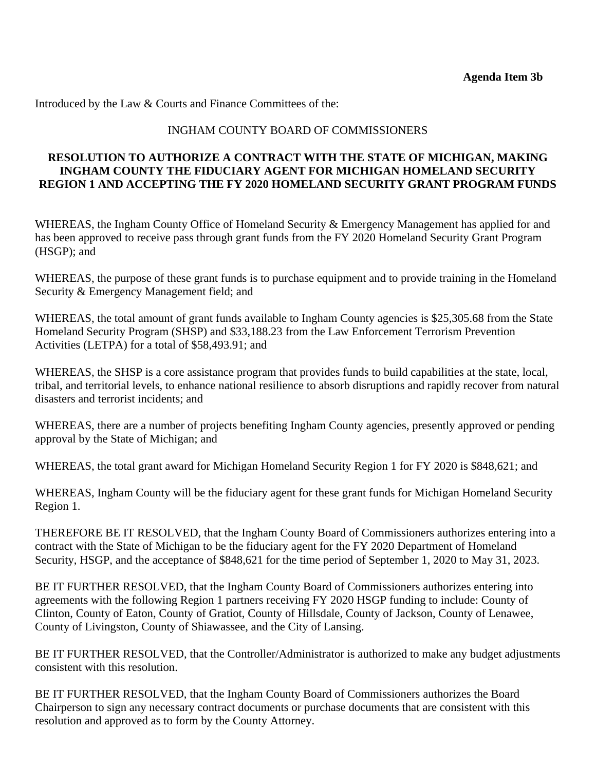### INGHAM COUNTY BOARD OF COMMISSIONERS

### **RESOLUTION TO AUTHORIZE A CONTRACT WITH THE STATE OF MICHIGAN, MAKING INGHAM COUNTY THE FIDUCIARY AGENT FOR MICHIGAN HOMELAND SECURITY REGION 1 AND ACCEPTING THE FY 2020 HOMELAND SECURITY GRANT PROGRAM FUNDS**

WHEREAS, the Ingham County Office of Homeland Security & Emergency Management has applied for and has been approved to receive pass through grant funds from the FY 2020 Homeland Security Grant Program (HSGP); and

WHEREAS, the purpose of these grant funds is to purchase equipment and to provide training in the Homeland Security & Emergency Management field; and

WHEREAS, the total amount of grant funds available to Ingham County agencies is \$25,305.68 from the State Homeland Security Program (SHSP) and \$33,188.23 from the Law Enforcement Terrorism Prevention Activities (LETPA) for a total of \$58,493.91; and

WHEREAS, the SHSP is a core assistance program that provides funds to build capabilities at the state, local, tribal, and territorial levels, to enhance national resilience to absorb disruptions and rapidly recover from natural disasters and terrorist incidents; and

WHEREAS, there are a number of projects benefiting Ingham County agencies, presently approved or pending approval by the State of Michigan; and

WHEREAS, the total grant award for Michigan Homeland Security Region 1 for FY 2020 is \$848,621; and

WHEREAS, Ingham County will be the fiduciary agent for these grant funds for Michigan Homeland Security Region 1.

THEREFORE BE IT RESOLVED, that the Ingham County Board of Commissioners authorizes entering into a contract with the State of Michigan to be the fiduciary agent for the FY 2020 Department of Homeland Security, HSGP, and the acceptance of \$848,621 for the time period of September 1, 2020 to May 31, 2023.

BE IT FURTHER RESOLVED, that the Ingham County Board of Commissioners authorizes entering into agreements with the following Region 1 partners receiving FY 2020 HSGP funding to include: County of Clinton, County of Eaton, County of Gratiot, County of Hillsdale, County of Jackson, County of Lenawee, County of Livingston, County of Shiawassee, and the City of Lansing.

BE IT FURTHER RESOLVED, that the Controller/Administrator is authorized to make any budget adjustments consistent with this resolution.

BE IT FURTHER RESOLVED, that the Ingham County Board of Commissioners authorizes the Board Chairperson to sign any necessary contract documents or purchase documents that are consistent with this resolution and approved as to form by the County Attorney.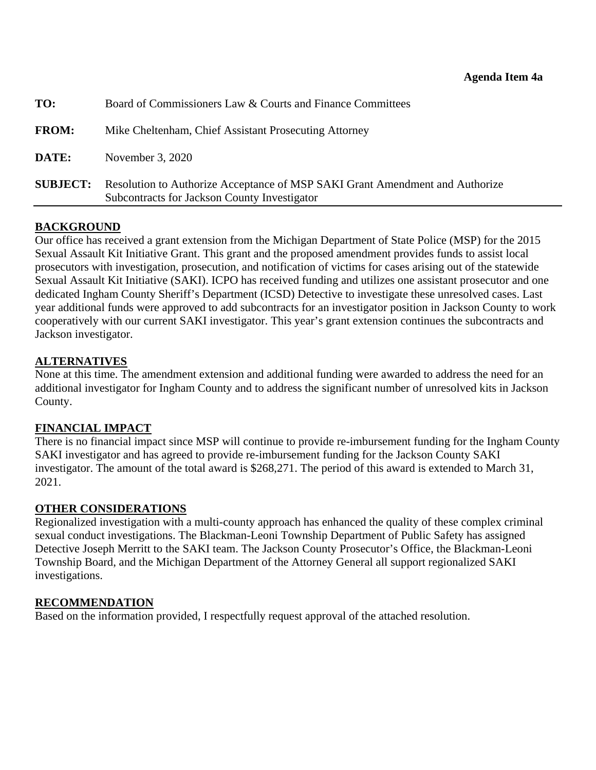<span id="page-28-0"></span>

| <b>SUBJECT:</b> | Resolution to Authorize Acceptance of MSP SAKI Grant Amendment and Authorize<br>Subcontracts for Jackson County Investigator |  |  |  |
|-----------------|------------------------------------------------------------------------------------------------------------------------------|--|--|--|
| DATE:           | November 3, 2020                                                                                                             |  |  |  |
| <b>FROM:</b>    | Mike Cheltenham, Chief Assistant Prosecuting Attorney                                                                        |  |  |  |
| TO:             | Board of Commissioners Law & Courts and Finance Committees                                                                   |  |  |  |

### **BACKGROUND**

Our office has received a grant extension from the Michigan Department of State Police (MSP) for the 2015 Sexual Assault Kit Initiative Grant. This grant and the proposed amendment provides funds to assist local prosecutors with investigation, prosecution, and notification of victims for cases arising out of the statewide Sexual Assault Kit Initiative (SAKI). ICPO has received funding and utilizes one assistant prosecutor and one dedicated Ingham County Sheriff's Department (ICSD) Detective to investigate these unresolved cases. Last year additional funds were approved to add subcontracts for an investigator position in Jackson County to work cooperatively with our current SAKI investigator. This year's grant extension continues the subcontracts and Jackson investigator.

### **ALTERNATIVES**

None at this time. The amendment extension and additional funding were awarded to address the need for an additional investigator for Ingham County and to address the significant number of unresolved kits in Jackson County.

### **FINANCIAL IMPACT**

There is no financial impact since MSP will continue to provide re-imbursement funding for the Ingham County SAKI investigator and has agreed to provide re-imbursement funding for the Jackson County SAKI investigator. The amount of the total award is \$268,271. The period of this award is extended to March 31, 2021.

## **OTHER CONSIDERATIONS**

Regionalized investigation with a multi-county approach has enhanced the quality of these complex criminal sexual conduct investigations. The Blackman-Leoni Township Department of Public Safety has assigned Detective Joseph Merritt to the SAKI team. The Jackson County Prosecutor's Office, the Blackman-Leoni Township Board, and the Michigan Department of the Attorney General all support regionalized SAKI investigations.

### **RECOMMENDATION**

Based on the information provided, I respectfully request approval of the attached resolution.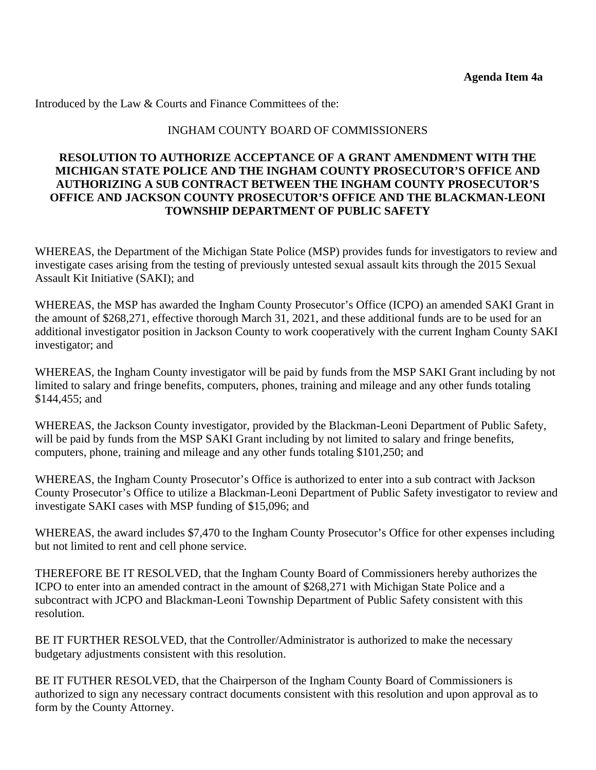#### INGHAM COUNTY BOARD OF COMMISSIONERS

#### **RESOLUTION TO AUTHORIZE ACCEPTANCE OF A GRANT AMENDMENT WITH THE MICHIGAN STATE POLICE AND THE INGHAM COUNTY PROSECUTOR'S OFFICE AND AUTHORIZING A SUB CONTRACT BETWEEN THE INGHAM COUNTY PROSECUTOR'S OFFICE AND JACKSON COUNTY PROSECUTOR'S OFFICE AND THE BLACKMAN-LEONI TOWNSHIP DEPARTMENT OF PUBLIC SAFETY**

WHEREAS, the Department of the Michigan State Police (MSP) provides funds for investigators to review and investigate cases arising from the testing of previously untested sexual assault kits through the 2015 Sexual Assault Kit Initiative (SAKI); and

WHEREAS, the MSP has awarded the Ingham County Prosecutor's Office (ICPO) an amended SAKI Grant in the amount of \$268,271, effective thorough March 31, 2021, and these additional funds are to be used for an additional investigator position in Jackson County to work cooperatively with the current Ingham County SAKI investigator; and

WHEREAS, the Ingham County investigator will be paid by funds from the MSP SAKI Grant including by not limited to salary and fringe benefits, computers, phones, training and mileage and any other funds totaling \$144,455; and

WHEREAS, the Jackson County investigator, provided by the Blackman-Leoni Department of Public Safety, will be paid by funds from the MSP SAKI Grant including by not limited to salary and fringe benefits, computers, phone, training and mileage and any other funds totaling \$101,250; and

WHEREAS, the Ingham County Prosecutor's Office is authorized to enter into a sub contract with Jackson County Prosecutor's Office to utilize a Blackman-Leoni Department of Public Safety investigator to review and investigate SAKI cases with MSP funding of \$15,096; and

WHEREAS, the award includes \$7,470 to the Ingham County Prosecutor's Office for other expenses including but not limited to rent and cell phone service.

THEREFORE BE IT RESOLVED, that the Ingham County Board of Commissioners hereby authorizes the ICPO to enter into an amended contract in the amount of \$268,271 with Michigan State Police and a subcontract with JCPO and Blackman-Leoni Township Department of Public Safety consistent with this resolution.

BE IT FURTHER RESOLVED, that the Controller/Administrator is authorized to make the necessary budgetary adjustments consistent with this resolution.

BE IT FUTHER RESOLVED, that the Chairperson of the Ingham County Board of Commissioners is authorized to sign any necessary contract documents consistent with this resolution and upon approval as to form by the County Attorney.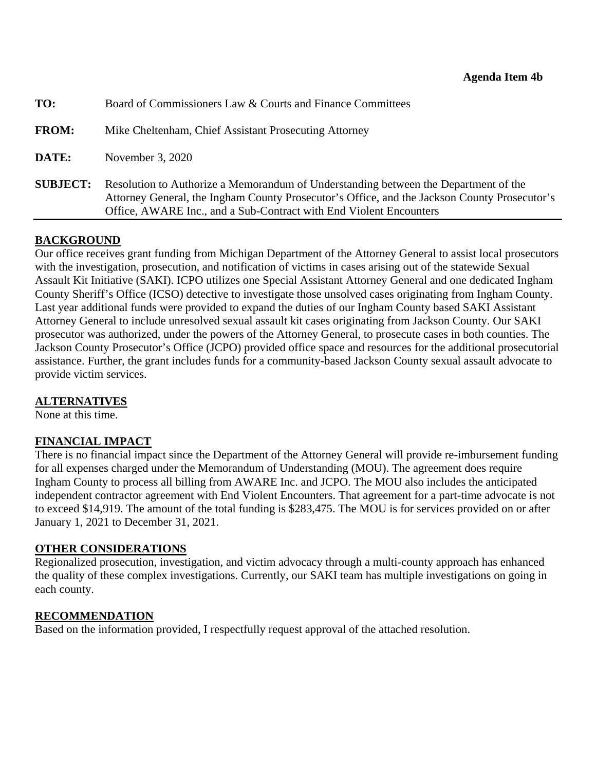<span id="page-30-0"></span>

| TO:             | Board of Commissioners Law & Courts and Finance Committees                                                                                                                                                                                                |
|-----------------|-----------------------------------------------------------------------------------------------------------------------------------------------------------------------------------------------------------------------------------------------------------|
| <b>FROM:</b>    | Mike Cheltenham, Chief Assistant Prosecuting Attorney                                                                                                                                                                                                     |
| DATE:           | November 3, 2020                                                                                                                                                                                                                                          |
| <b>SUBJECT:</b> | Resolution to Authorize a Memorandum of Understanding between the Department of the<br>Attorney General, the Ingham County Prosecutor's Office, and the Jackson County Prosecutor's<br>Office, AWARE Inc., and a Sub-Contract with End Violent Encounters |

### **BACKGROUND**

Our office receives grant funding from Michigan Department of the Attorney General to assist local prosecutors with the investigation, prosecution, and notification of victims in cases arising out of the statewide Sexual Assault Kit Initiative (SAKI). ICPO utilizes one Special Assistant Attorney General and one dedicated Ingham County Sheriff's Office (ICSO) detective to investigate those unsolved cases originating from Ingham County. Last year additional funds were provided to expand the duties of our Ingham County based SAKI Assistant Attorney General to include unresolved sexual assault kit cases originating from Jackson County. Our SAKI prosecutor was authorized, under the powers of the Attorney General, to prosecute cases in both counties. The Jackson County Prosecutor's Office (JCPO) provided office space and resources for the additional prosecutorial assistance. Further, the grant includes funds for a community-based Jackson County sexual assault advocate to provide victim services.

### **ALTERNATIVES**

None at this time.

## **FINANCIAL IMPACT**

There is no financial impact since the Department of the Attorney General will provide re-imbursement funding for all expenses charged under the Memorandum of Understanding (MOU). The agreement does require Ingham County to process all billing from AWARE Inc. and JCPO. The MOU also includes the anticipated independent contractor agreement with End Violent Encounters. That agreement for a part-time advocate is not to exceed \$14,919. The amount of the total funding is \$283,475. The MOU is for services provided on or after January 1, 2021 to December 31, 2021.

## **OTHER CONSIDERATIONS**

Regionalized prosecution, investigation, and victim advocacy through a multi-county approach has enhanced the quality of these complex investigations. Currently, our SAKI team has multiple investigations on going in each county.

### **RECOMMENDATION**

Based on the information provided, I respectfully request approval of the attached resolution.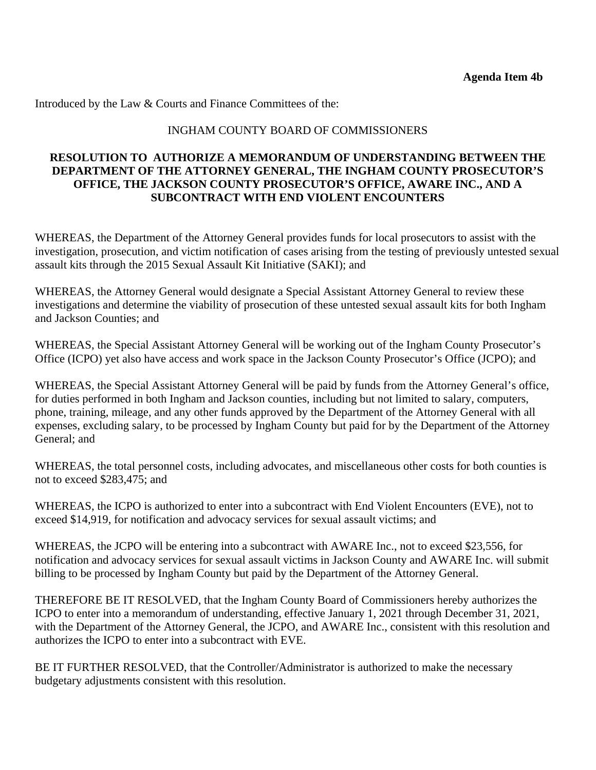#### INGHAM COUNTY BOARD OF COMMISSIONERS

#### **RESOLUTION TO AUTHORIZE A MEMORANDUM OF UNDERSTANDING BETWEEN THE DEPARTMENT OF THE ATTORNEY GENERAL, THE INGHAM COUNTY PROSECUTOR'S OFFICE, THE JACKSON COUNTY PROSECUTOR'S OFFICE, AWARE INC., AND A SUBCONTRACT WITH END VIOLENT ENCOUNTERS**

WHEREAS, the Department of the Attorney General provides funds for local prosecutors to assist with the investigation, prosecution, and victim notification of cases arising from the testing of previously untested sexual assault kits through the 2015 Sexual Assault Kit Initiative (SAKI); and

WHEREAS, the Attorney General would designate a Special Assistant Attorney General to review these investigations and determine the viability of prosecution of these untested sexual assault kits for both Ingham and Jackson Counties; and

WHEREAS, the Special Assistant Attorney General will be working out of the Ingham County Prosecutor's Office (ICPO) yet also have access and work space in the Jackson County Prosecutor's Office (JCPO); and

WHEREAS, the Special Assistant Attorney General will be paid by funds from the Attorney General's office, for duties performed in both Ingham and Jackson counties, including but not limited to salary, computers, phone, training, mileage, and any other funds approved by the Department of the Attorney General with all expenses, excluding salary, to be processed by Ingham County but paid for by the Department of the Attorney General; and

WHEREAS, the total personnel costs, including advocates, and miscellaneous other costs for both counties is not to exceed \$283,475; and

WHEREAS, the ICPO is authorized to enter into a subcontract with End Violent Encounters (EVE), not to exceed \$14,919, for notification and advocacy services for sexual assault victims; and

WHEREAS, the JCPO will be entering into a subcontract with AWARE Inc., not to exceed \$23,556, for notification and advocacy services for sexual assault victims in Jackson County and AWARE Inc. will submit billing to be processed by Ingham County but paid by the Department of the Attorney General.

THEREFORE BE IT RESOLVED, that the Ingham County Board of Commissioners hereby authorizes the ICPO to enter into a memorandum of understanding, effective January 1, 2021 through December 31, 2021, with the Department of the Attorney General, the JCPO, and AWARE Inc., consistent with this resolution and authorizes the ICPO to enter into a subcontract with EVE.

BE IT FURTHER RESOLVED, that the Controller/Administrator is authorized to make the necessary budgetary adjustments consistent with this resolution.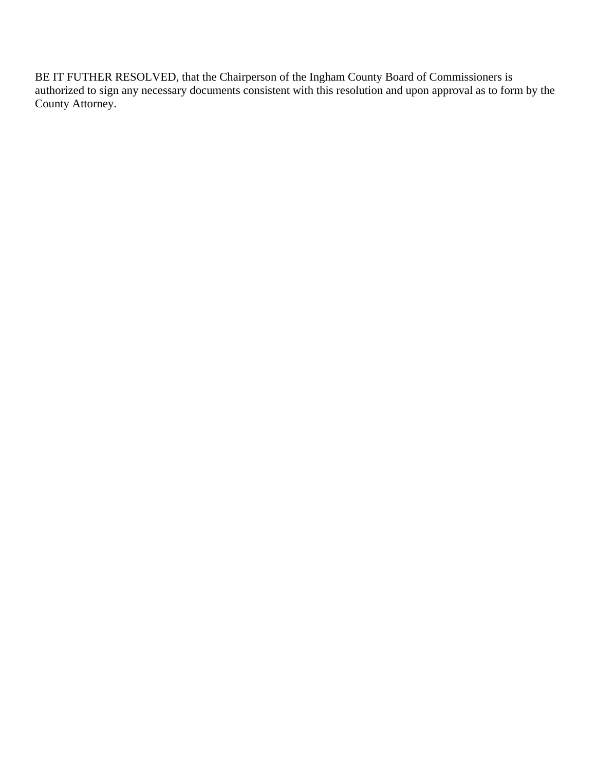BE IT FUTHER RESOLVED, that the Chairperson of the Ingham County Board of Commissioners is authorized to sign any necessary documents consistent with this resolution and upon approval as to form by the County Attorney.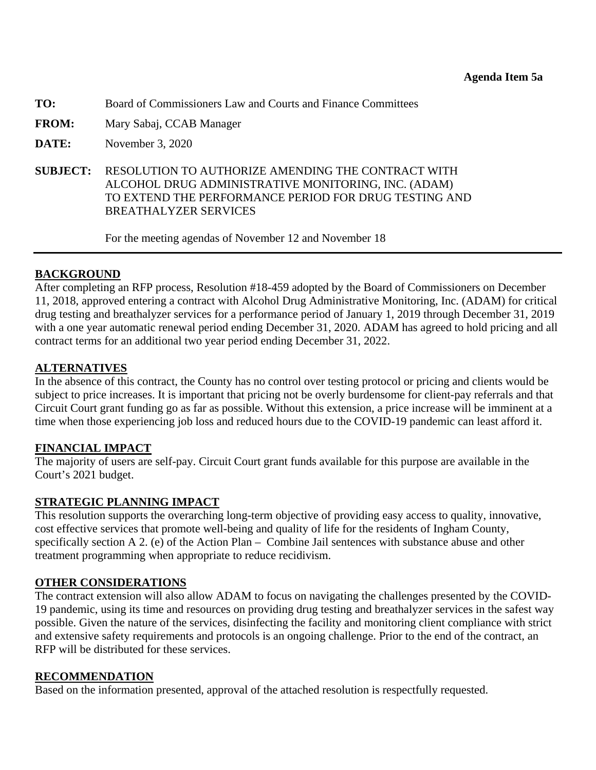<span id="page-33-0"></span>**TO:** Board of Commissioners Law and Courts and Finance Committees

- **FROM:** Mary Sabaj, CCAB Manager
- **DATE:** November 3, 2020
- **SUBJECT:** RESOLUTION TO AUTHORIZE AMENDING THE CONTRACT WITH ALCOHOL DRUG ADMINISTRATIVE MONITORING, INC. (ADAM) TO EXTEND THE PERFORMANCE PERIOD FOR DRUG TESTING AND BREATHALYZER SERVICES

For the meeting agendas of November 12 and November 18

#### **BACKGROUND**

After completing an RFP process, Resolution #18-459 adopted by the Board of Commissioners on December 11, 2018, approved entering a contract with Alcohol Drug Administrative Monitoring, Inc. (ADAM) for critical drug testing and breathalyzer services for a performance period of January 1, 2019 through December 31, 2019 with a one year automatic renewal period ending December 31, 2020. ADAM has agreed to hold pricing and all contract terms for an additional two year period ending December 31, 2022.

#### **ALTERNATIVES**

In the absence of this contract, the County has no control over testing protocol or pricing and clients would be subject to price increases. It is important that pricing not be overly burdensome for client-pay referrals and that Circuit Court grant funding go as far as possible. Without this extension, a price increase will be imminent at a time when those experiencing job loss and reduced hours due to the COVID-19 pandemic can least afford it.

### **FINANCIAL IMPACT**

The majority of users are self-pay. Circuit Court grant funds available for this purpose are available in the Court's 2021 budget.

#### **STRATEGIC PLANNING IMPACT**

This resolution supports the overarching long-term objective of providing easy access to quality, innovative, cost effective services that promote well-being and quality of life for the residents of Ingham County, specifically section A 2. (e) of the Action Plan – Combine Jail sentences with substance abuse and other treatment programming when appropriate to reduce recidivism.

### **OTHER CONSIDERATIONS**

The contract extension will also allow ADAM to focus on navigating the challenges presented by the COVID-19 pandemic, using its time and resources on providing drug testing and breathalyzer services in the safest way possible. Given the nature of the services, disinfecting the facility and monitoring client compliance with strict and extensive safety requirements and protocols is an ongoing challenge. Prior to the end of the contract, an RFP will be distributed for these services.

#### **RECOMMENDATION**

Based on the information presented, approval of the attached resolution is respectfully requested.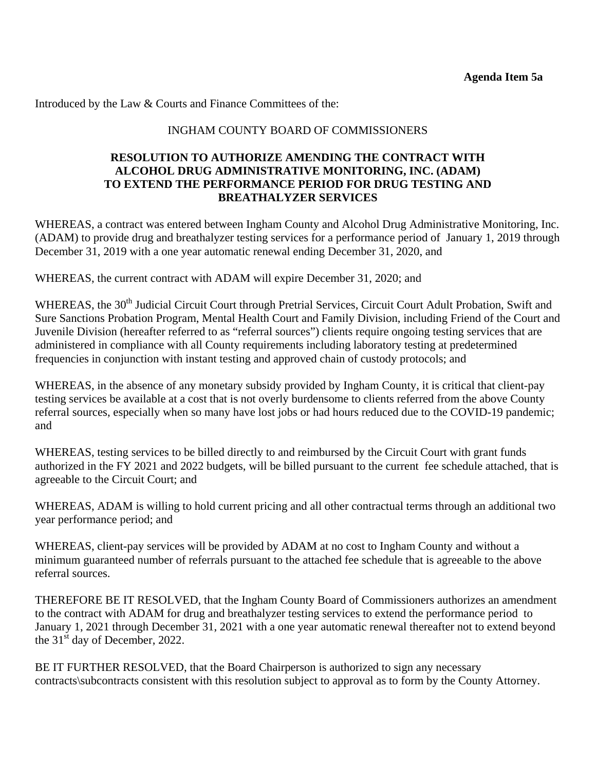#### INGHAM COUNTY BOARD OF COMMISSIONERS

#### **RESOLUTION TO AUTHORIZE AMENDING THE CONTRACT WITH ALCOHOL DRUG ADMINISTRATIVE MONITORING, INC. (ADAM) TO EXTEND THE PERFORMANCE PERIOD FOR DRUG TESTING AND BREATHALYZER SERVICES**

WHEREAS, a contract was entered between Ingham County and Alcohol Drug Administrative Monitoring, Inc. (ADAM) to provide drug and breathalyzer testing services for a performance period of January 1, 2019 through December 31, 2019 with a one year automatic renewal ending December 31, 2020, and

WHEREAS, the current contract with ADAM will expire December 31, 2020; and

WHEREAS, the 30<sup>th</sup> Judicial Circuit Court through Pretrial Services, Circuit Court Adult Probation, Swift and Sure Sanctions Probation Program, Mental Health Court and Family Division, including Friend of the Court and Juvenile Division (hereafter referred to as "referral sources") clients require ongoing testing services that are administered in compliance with all County requirements including laboratory testing at predetermined frequencies in conjunction with instant testing and approved chain of custody protocols; and

WHEREAS, in the absence of any monetary subsidy provided by Ingham County, it is critical that client-pay testing services be available at a cost that is not overly burdensome to clients referred from the above County referral sources, especially when so many have lost jobs or had hours reduced due to the COVID-19 pandemic; and

WHEREAS, testing services to be billed directly to and reimbursed by the Circuit Court with grant funds authorized in the FY 2021 and 2022 budgets, will be billed pursuant to the current fee schedule attached, that is agreeable to the Circuit Court; and

WHEREAS, ADAM is willing to hold current pricing and all other contractual terms through an additional two year performance period; and

WHEREAS, client-pay services will be provided by ADAM at no cost to Ingham County and without a minimum guaranteed number of referrals pursuant to the attached fee schedule that is agreeable to the above referral sources.

THEREFORE BE IT RESOLVED, that the Ingham County Board of Commissioners authorizes an amendment to the contract with ADAM for drug and breathalyzer testing services to extend the performance period to January 1, 2021 through December 31, 2021 with a one year automatic renewal thereafter not to extend beyond the  $31<sup>st</sup>$  day of December, 2022.

BE IT FURTHER RESOLVED, that the Board Chairperson is authorized to sign any necessary contracts\subcontracts consistent with this resolution subject to approval as to form by the County Attorney.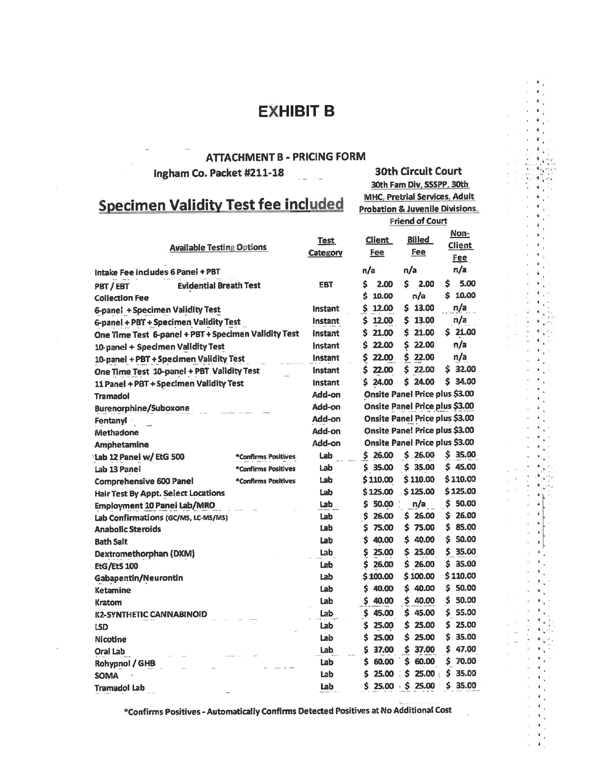# **EXHIBIT B**

**30th Circuit Court** 

30th Fam Div, SSSPP, 30th **MHC, Pretrial Services, Adult** 

Probation & Juvenile Divisions,

#### **ATTACHMENT B - PRICING FORM**

Ingham Co. Packet #211-18

# **Specimen Validity Test fee included**

**Friend of Court** Non-**Billed Client Test Client Available Testing Options Fee** Fee Category Fee  $n/a$  $n/a$  $n/a$ Intake Fee includes 6 Panel + PBT  $$2.00$ 5.00 \$ 2.00 \$ **Evidential Breath Test** EBT PBT/EBT  $$10.00$ \$ 10.00  $n/a$ **Collection Fee** \$ 12.00  $$13.00$ n/a **6-panel + Specimen Validity Test Instant** Instant \$ 12.00  $$13.00$ n/a 6-panel + PBT + Specimen Validity Test \$ 21.00  $$21.00$ One Time Test 6-panel + PBT + Specimen Validity Test 21.00 Ś Instant 22.00 \$ 22.00  $n/a$ 10-panel + Specimen Validity Test Instant Ś Instant \$ 22.00 \$ 22.00 n/a 10-panel + PBT + Specimen Validity Test  $$32.00$ 22.00 \$ 22.00 Instant Ś One Time Test 10-panel + PBT Validity Test Instant \$24.00  $$24.00$  $$34.00$ 11 Panel + PBT + Specimen Validity Test Add-on Onsite Panel Price plus \$3.00 **Tramadol** Onsite Panel Price plus \$3.00 Add-on **Burenorphine/Suboxone** Add-on Onsite Panel Price plus \$3.00 Fentanyl Onsite Pane! Price plus \$3.00 Add-on Methadone Onsite Panel Price plus \$3.00 Add-on Amphetamine  $$26.00$  $$26.00$  $$35.00$ Lab Lab 12 Panei w/EtG 500 \*Confirms Positives  $$35.00$  $$35.00$  $$45.00$ Lab Lab 13 Panel \*Confirms Positives Lab \$110.00 \$110.00  $$110.00$ Comprehensive 600 Panel \*Confirms Positives \$125.00 \$125.00 \$125.00 Lab **Hair Test By Appt. Select Locations** 50.00 n/a  $$50.00$ \$ Lab Employment 10 Panei Lab/MRO 26.00 26.00  $$26.00$ Lab Confirmations (GC/MS, LC-MS/MS) Lab \$ \$ \$ 75.00  $$85.00$ Lab \$ 75.00 **Anabolic Steroids** Ś 40.00 \$ 40.00  $$50.00$ Lab **Bath Salt** 25.00 \$ 25.00  $$35.00$ Lab \$ Dextromethorphan (DXM) Ś 26.00 \$ 26.00  $$35.00$ EtG/EtS 100 Lab \$100.00 \$100.00 \$110.00 Lab Gabapentin/Neurontin  $$50.00$ Lab Ś 40.00 \$ 40.00 Ketamine Lab \$ 40.00 \$ 40.00  $$50.00$ **Kratom** \$ 55.00 **K2-SYNTHETIC CANNABINOID** Lab \$ 45.00 45.00 \$  $$25.00$ \$ \$ 25.00 25.00 LSD Lab Lab Ś 25.00 \$ 25.00 \$ 35.00 Nicotine \$ 37.00  $$47.00$ Lab \$ 37.00 Oral Lab \$ Lab \$ 60.00 60.00 \$ 70.00 **Rohypno! / GHB** 35.00 Ś 25.00 \$ 25.00 \$ Lab ÷ **SOMA** ≵⊧ 25.00  $$35.00$ \$ 25.00 Lab **Tramadol Lab** 

\*Confirms Positives - Automatically Confirms Detected Positives at No Additional Cost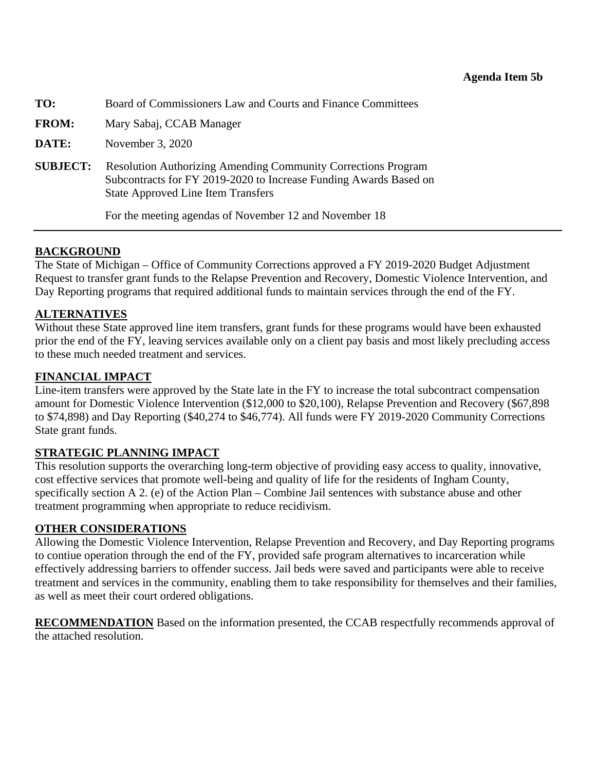<span id="page-36-0"></span>

| TO:             | Board of Commissioners Law and Courts and Finance Committees                                                                                                                           |  |  |
|-----------------|----------------------------------------------------------------------------------------------------------------------------------------------------------------------------------------|--|--|
| <b>FROM:</b>    | Mary Sabaj, CCAB Manager                                                                                                                                                               |  |  |
| DATE:           | November 3, 2020                                                                                                                                                                       |  |  |
| <b>SUBJECT:</b> | <b>Resolution Authorizing Amending Community Corrections Program</b><br>Subcontracts for FY 2019-2020 to Increase Funding Awards Based on<br><b>State Approved Line Item Transfers</b> |  |  |
|                 | For the meeting agendas of November 12 and November 18                                                                                                                                 |  |  |

## **BACKGROUND**

The State of Michigan – Office of Community Corrections approved a FY 2019-2020 Budget Adjustment Request to transfer grant funds to the Relapse Prevention and Recovery, Domestic Violence Intervention, and Day Reporting programs that required additional funds to maintain services through the end of the FY.

## **ALTERNATIVES**

Without these State approved line item transfers, grant funds for these programs would have been exhausted prior the end of the FY, leaving services available only on a client pay basis and most likely precluding access to these much needed treatment and services.

### **FINANCIAL IMPACT**

Line-item transfers were approved by the State late in the FY to increase the total subcontract compensation amount for Domestic Violence Intervention (\$12,000 to \$20,100), Relapse Prevention and Recovery (\$67,898 to \$74,898) and Day Reporting (\$40,274 to \$46,774). All funds were FY 2019-2020 Community Corrections State grant funds.

## **STRATEGIC PLANNING IMPACT**

This resolution supports the overarching long-term objective of providing easy access to quality, innovative, cost effective services that promote well-being and quality of life for the residents of Ingham County, specifically section A 2. (e) of the Action Plan – Combine Jail sentences with substance abuse and other treatment programming when appropriate to reduce recidivism.

### **OTHER CONSIDERATIONS**

Allowing the Domestic Violence Intervention, Relapse Prevention and Recovery, and Day Reporting programs to contiue operation through the end of the FY, provided safe program alternatives to incarceration while effectively addressing barriers to offender success. Jail beds were saved and participants were able to receive treatment and services in the community, enabling them to take responsibility for themselves and their families, as well as meet their court ordered obligations.

**RECOMMENDATION** Based on the information presented, the CCAB respectfully recommends approval of the attached resolution.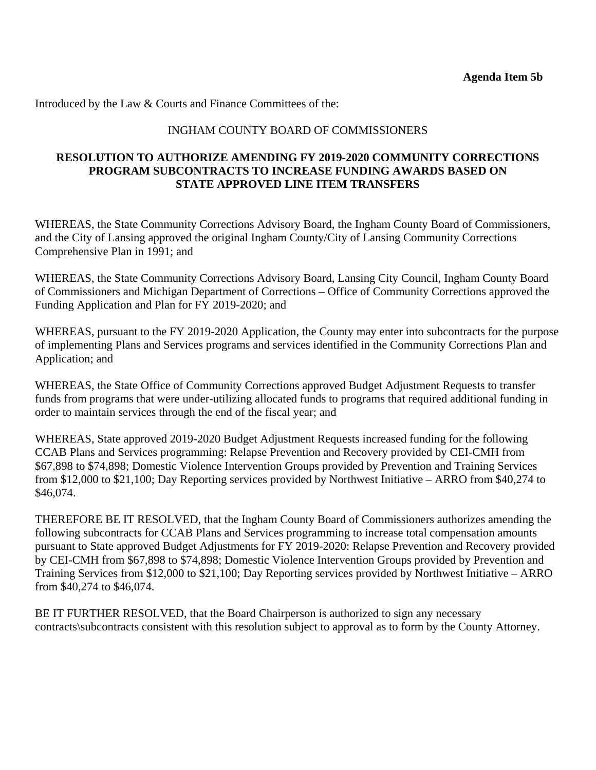#### INGHAM COUNTY BOARD OF COMMISSIONERS

#### **RESOLUTION TO AUTHORIZE AMENDING FY 2019-2020 COMMUNITY CORRECTIONS PROGRAM SUBCONTRACTS TO INCREASE FUNDING AWARDS BASED ON STATE APPROVED LINE ITEM TRANSFERS**

WHEREAS, the State Community Corrections Advisory Board, the Ingham County Board of Commissioners, and the City of Lansing approved the original Ingham County/City of Lansing Community Corrections Comprehensive Plan in 1991; and

WHEREAS, the State Community Corrections Advisory Board, Lansing City Council, Ingham County Board of Commissioners and Michigan Department of Corrections – Office of Community Corrections approved the Funding Application and Plan for FY 2019-2020; and

WHEREAS, pursuant to the FY 2019-2020 Application, the County may enter into subcontracts for the purpose of implementing Plans and Services programs and services identified in the Community Corrections Plan and Application; and

WHEREAS, the State Office of Community Corrections approved Budget Adjustment Requests to transfer funds from programs that were under-utilizing allocated funds to programs that required additional funding in order to maintain services through the end of the fiscal year; and

WHEREAS, State approved 2019-2020 Budget Adjustment Requests increased funding for the following CCAB Plans and Services programming: Relapse Prevention and Recovery provided by CEI-CMH from \$67,898 to \$74,898; Domestic Violence Intervention Groups provided by Prevention and Training Services from \$12,000 to \$21,100; Day Reporting services provided by Northwest Initiative – ARRO from \$40,274 to \$46,074.

THEREFORE BE IT RESOLVED, that the Ingham County Board of Commissioners authorizes amending the following subcontracts for CCAB Plans and Services programming to increase total compensation amounts pursuant to State approved Budget Adjustments for FY 2019-2020: Relapse Prevention and Recovery provided by CEI-CMH from \$67,898 to \$74,898; Domestic Violence Intervention Groups provided by Prevention and Training Services from \$12,000 to \$21,100; Day Reporting services provided by Northwest Initiative – ARRO from \$40,274 to \$46,074.

BE IT FURTHER RESOLVED, that the Board Chairperson is authorized to sign any necessary contracts\subcontracts consistent with this resolution subject to approval as to form by the County Attorney.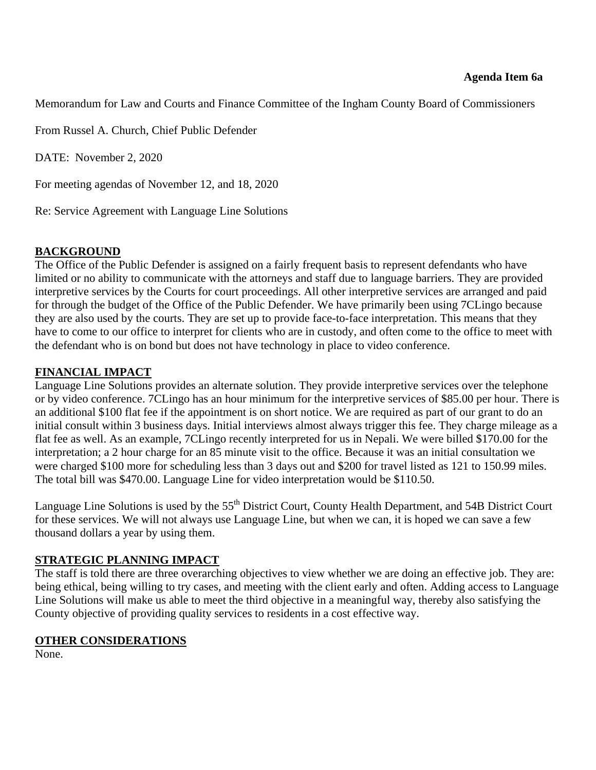<span id="page-38-0"></span>Memorandum for Law and Courts and Finance Committee of the Ingham County Board of Commissioners

From Russel A. Church, Chief Public Defender

DATE: November 2, 2020

For meeting agendas of November 12, and 18, 2020

Re: Service Agreement with Language Line Solutions

#### **BACKGROUND**

The Office of the Public Defender is assigned on a fairly frequent basis to represent defendants who have limited or no ability to communicate with the attorneys and staff due to language barriers. They are provided interpretive services by the Courts for court proceedings. All other interpretive services are arranged and paid for through the budget of the Office of the Public Defender. We have primarily been using 7CLingo because they are also used by the courts. They are set up to provide face-to-face interpretation. This means that they have to come to our office to interpret for clients who are in custody, and often come to the office to meet with the defendant who is on bond but does not have technology in place to video conference.

#### **FINANCIAL IMPACT**

Language Line Solutions provides an alternate solution. They provide interpretive services over the telephone or by video conference. 7CLingo has an hour minimum for the interpretive services of \$85.00 per hour. There is an additional \$100 flat fee if the appointment is on short notice. We are required as part of our grant to do an initial consult within 3 business days. Initial interviews almost always trigger this fee. They charge mileage as a flat fee as well. As an example, 7CLingo recently interpreted for us in Nepali. We were billed \$170.00 for the interpretation; a 2 hour charge for an 85 minute visit to the office. Because it was an initial consultation we were charged \$100 more for scheduling less than 3 days out and \$200 for travel listed as 121 to 150.99 miles. The total bill was \$470.00. Language Line for video interpretation would be \$110.50.

Language Line Solutions is used by the 55<sup>th</sup> District Court, County Health Department, and 54B District Court for these services. We will not always use Language Line, but when we can, it is hoped we can save a few thousand dollars a year by using them.

#### **STRATEGIC PLANNING IMPACT**

The staff is told there are three overarching objectives to view whether we are doing an effective job. They are: being ethical, being willing to try cases, and meeting with the client early and often. Adding access to Language Line Solutions will make us able to meet the third objective in a meaningful way, thereby also satisfying the County objective of providing quality services to residents in a cost effective way.

#### **OTHER CONSIDERATIONS**

None.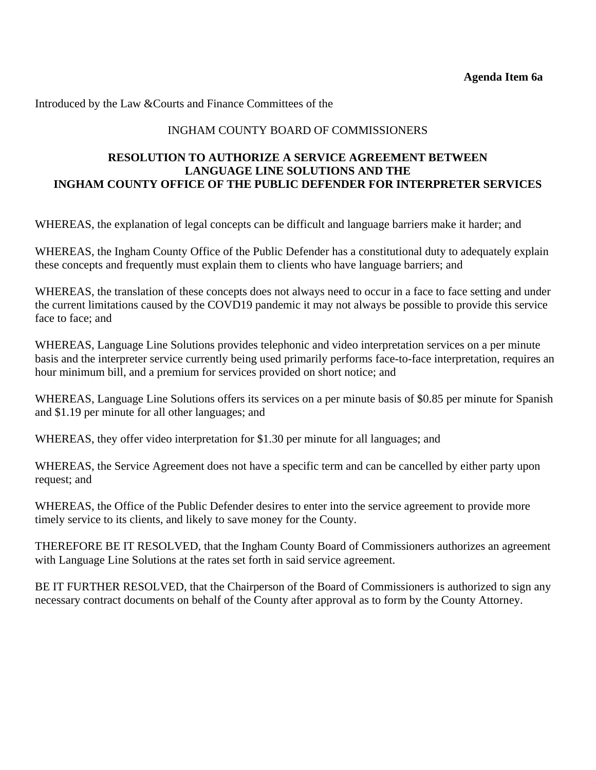### INGHAM COUNTY BOARD OF COMMISSIONERS

### **RESOLUTION TO AUTHORIZE A SERVICE AGREEMENT BETWEEN LANGUAGE LINE SOLUTIONS AND THE INGHAM COUNTY OFFICE OF THE PUBLIC DEFENDER FOR INTERPRETER SERVICES**

WHEREAS, the explanation of legal concepts can be difficult and language barriers make it harder; and

WHEREAS, the Ingham County Office of the Public Defender has a constitutional duty to adequately explain these concepts and frequently must explain them to clients who have language barriers; and

WHEREAS, the translation of these concepts does not always need to occur in a face to face setting and under the current limitations caused by the COVD19 pandemic it may not always be possible to provide this service face to face; and

WHEREAS, Language Line Solutions provides telephonic and video interpretation services on a per minute basis and the interpreter service currently being used primarily performs face-to-face interpretation, requires an hour minimum bill, and a premium for services provided on short notice; and

WHEREAS, Language Line Solutions offers its services on a per minute basis of \$0.85 per minute for Spanish and \$1.19 per minute for all other languages; and

WHEREAS, they offer video interpretation for \$1.30 per minute for all languages; and

WHEREAS, the Service Agreement does not have a specific term and can be cancelled by either party upon request; and

WHEREAS, the Office of the Public Defender desires to enter into the service agreement to provide more timely service to its clients, and likely to save money for the County.

THEREFORE BE IT RESOLVED, that the Ingham County Board of Commissioners authorizes an agreement with Language Line Solutions at the rates set forth in said service agreement.

BE IT FURTHER RESOLVED, that the Chairperson of the Board of Commissioners is authorized to sign any necessary contract documents on behalf of the County after approval as to form by the County Attorney.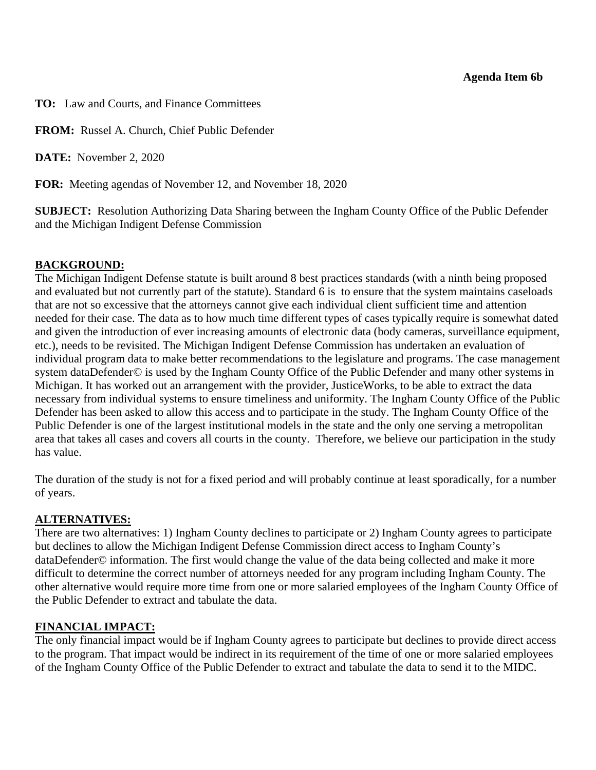#### **Agenda Item 6b**

<span id="page-40-0"></span>**TO:** Law and Courts, and Finance Committees

**FROM:** Russel A. Church, Chief Public Defender

**DATE:** November 2, 2020

**FOR:** Meeting agendas of November 12, and November 18, 2020

**SUBJECT:** Resolution Authorizing Data Sharing between the Ingham County Office of the Public Defender and the Michigan Indigent Defense Commission

### **BACKGROUND:**

The Michigan Indigent Defense statute is built around 8 best practices standards (with a ninth being proposed and evaluated but not currently part of the statute). Standard 6 is to ensure that the system maintains caseloads that are not so excessive that the attorneys cannot give each individual client sufficient time and attention needed for their case. The data as to how much time different types of cases typically require is somewhat dated and given the introduction of ever increasing amounts of electronic data (body cameras, surveillance equipment, etc.), needs to be revisited. The Michigan Indigent Defense Commission has undertaken an evaluation of individual program data to make better recommendations to the legislature and programs. The case management system dataDefender© is used by the Ingham County Office of the Public Defender and many other systems in Michigan. It has worked out an arrangement with the provider, JusticeWorks, to be able to extract the data necessary from individual systems to ensure timeliness and uniformity. The Ingham County Office of the Public Defender has been asked to allow this access and to participate in the study. The Ingham County Office of the Public Defender is one of the largest institutional models in the state and the only one serving a metropolitan area that takes all cases and covers all courts in the county. Therefore, we believe our participation in the study has value.

The duration of the study is not for a fixed period and will probably continue at least sporadically, for a number of years.

### **ALTERNATIVES:**

There are two alternatives: 1) Ingham County declines to participate or 2) Ingham County agrees to participate but declines to allow the Michigan Indigent Defense Commission direct access to Ingham County's dataDefender© information. The first would change the value of the data being collected and make it more difficult to determine the correct number of attorneys needed for any program including Ingham County. The other alternative would require more time from one or more salaried employees of the Ingham County Office of the Public Defender to extract and tabulate the data.

### **FINANCIAL IMPACT:**

The only financial impact would be if Ingham County agrees to participate but declines to provide direct access to the program. That impact would be indirect in its requirement of the time of one or more salaried employees of the Ingham County Office of the Public Defender to extract and tabulate the data to send it to the MIDC.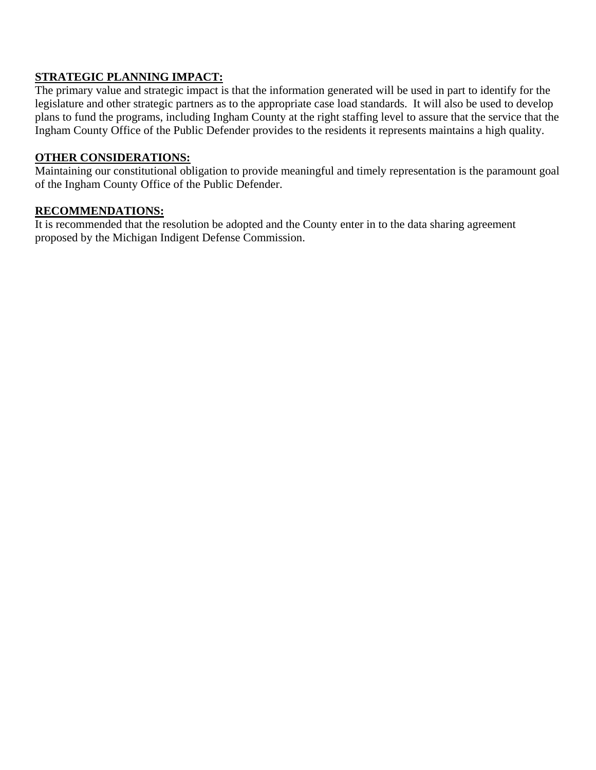### **STRATEGIC PLANNING IMPACT:**

The primary value and strategic impact is that the information generated will be used in part to identify for the legislature and other strategic partners as to the appropriate case load standards. It will also be used to develop plans to fund the programs, including Ingham County at the right staffing level to assure that the service that the Ingham County Office of the Public Defender provides to the residents it represents maintains a high quality.

#### **OTHER CONSIDERATIONS:**

Maintaining our constitutional obligation to provide meaningful and timely representation is the paramount goal of the Ingham County Office of the Public Defender.

#### **RECOMMENDATIONS:**

It is recommended that the resolution be adopted and the County enter in to the data sharing agreement proposed by the Michigan Indigent Defense Commission.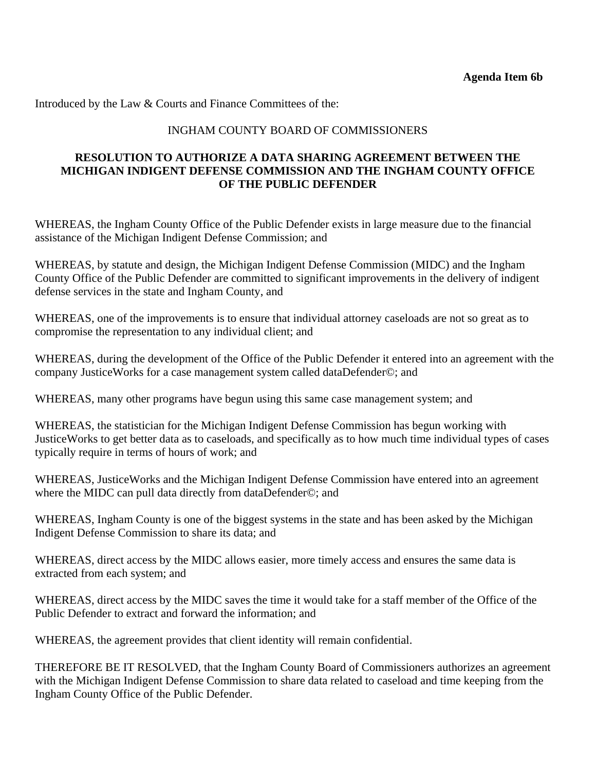#### INGHAM COUNTY BOARD OF COMMISSIONERS

#### **RESOLUTION TO AUTHORIZE A DATA SHARING AGREEMENT BETWEEN THE MICHIGAN INDIGENT DEFENSE COMMISSION AND THE INGHAM COUNTY OFFICE OF THE PUBLIC DEFENDER**

WHEREAS, the Ingham County Office of the Public Defender exists in large measure due to the financial assistance of the Michigan Indigent Defense Commission; and

WHEREAS, by statute and design, the Michigan Indigent Defense Commission (MIDC) and the Ingham County Office of the Public Defender are committed to significant improvements in the delivery of indigent defense services in the state and Ingham County, and

WHEREAS, one of the improvements is to ensure that individual attorney caseloads are not so great as to compromise the representation to any individual client; and

WHEREAS, during the development of the Office of the Public Defender it entered into an agreement with the company JusticeWorks for a case management system called dataDefender©; and

WHEREAS, many other programs have begun using this same case management system; and

WHEREAS, the statistician for the Michigan Indigent Defense Commission has begun working with JusticeWorks to get better data as to caseloads, and specifically as to how much time individual types of cases typically require in terms of hours of work; and

WHEREAS, JusticeWorks and the Michigan Indigent Defense Commission have entered into an agreement where the MIDC can pull data directly from dataDefender©; and

WHEREAS, Ingham County is one of the biggest systems in the state and has been asked by the Michigan Indigent Defense Commission to share its data; and

WHEREAS, direct access by the MIDC allows easier, more timely access and ensures the same data is extracted from each system; and

WHEREAS, direct access by the MIDC saves the time it would take for a staff member of the Office of the Public Defender to extract and forward the information; and

WHEREAS, the agreement provides that client identity will remain confidential.

THEREFORE BE IT RESOLVED, that the Ingham County Board of Commissioners authorizes an agreement with the Michigan Indigent Defense Commission to share data related to caseload and time keeping from the Ingham County Office of the Public Defender.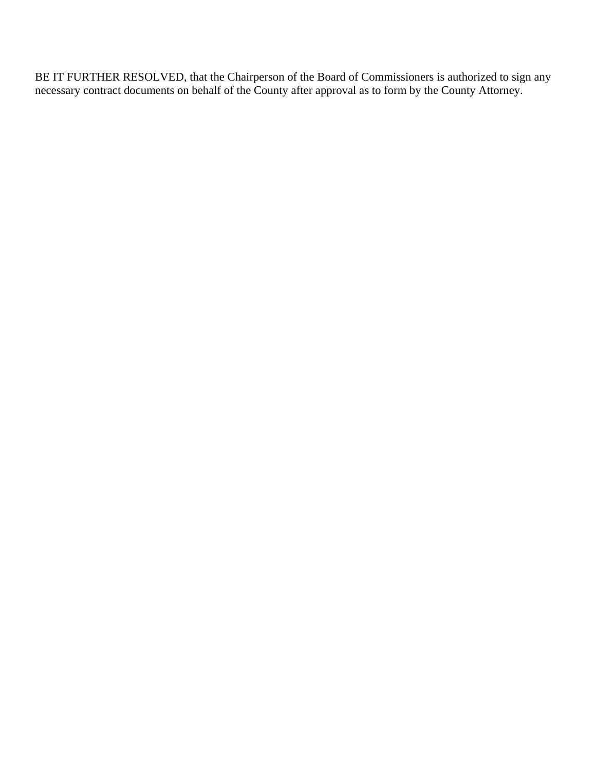BE IT FURTHER RESOLVED, that the Chairperson of the Board of Commissioners is authorized to sign any necessary contract documents on behalf of the County after approval as to form by the County Attorney.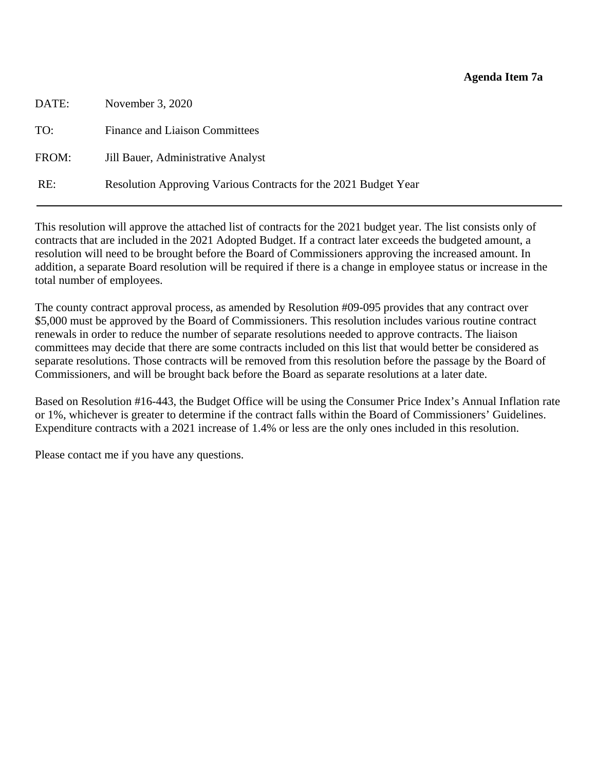#### **Agenda Item 7a**

<span id="page-44-0"></span>

| DATE: | November 3, 2020                                                |
|-------|-----------------------------------------------------------------|
| TO:   | <b>Finance and Liaison Committees</b>                           |
| FROM: | Jill Bauer, Administrative Analyst                              |
| RE:   | Resolution Approving Various Contracts for the 2021 Budget Year |
|       |                                                                 |

This resolution will approve the attached list of contracts for the 2021 budget year. The list consists only of contracts that are included in the 2021 Adopted Budget. If a contract later exceeds the budgeted amount, a resolution will need to be brought before the Board of Commissioners approving the increased amount. In addition, a separate Board resolution will be required if there is a change in employee status or increase in the total number of employees.

The county contract approval process, as amended by Resolution #09-095 provides that any contract over \$5,000 must be approved by the Board of Commissioners. This resolution includes various routine contract renewals in order to reduce the number of separate resolutions needed to approve contracts. The liaison committees may decide that there are some contracts included on this list that would better be considered as separate resolutions. Those contracts will be removed from this resolution before the passage by the Board of Commissioners, and will be brought back before the Board as separate resolutions at a later date.

Based on Resolution #16-443, the Budget Office will be using the Consumer Price Index's Annual Inflation rate or 1%, whichever is greater to determine if the contract falls within the Board of Commissioners' Guidelines. Expenditure contracts with a 2021 increase of 1.4% or less are the only ones included in this resolution.

Please contact me if you have any questions.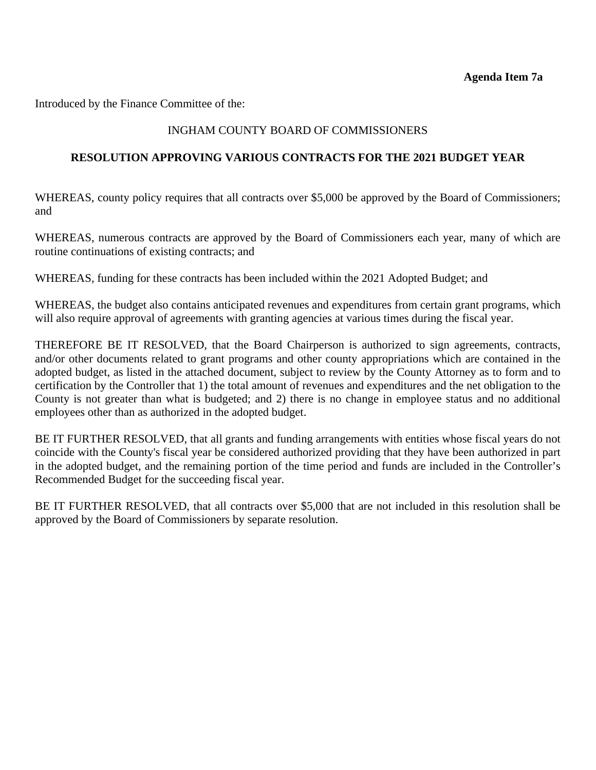Introduced by the Finance Committee of the:

### INGHAM COUNTY BOARD OF COMMISSIONERS

#### **RESOLUTION APPROVING VARIOUS CONTRACTS FOR THE 2021 BUDGET YEAR**

WHEREAS, county policy requires that all contracts over \$5,000 be approved by the Board of Commissioners; and

WHEREAS, numerous contracts are approved by the Board of Commissioners each year, many of which are routine continuations of existing contracts; and

WHEREAS, funding for these contracts has been included within the 2021 Adopted Budget; and

WHEREAS, the budget also contains anticipated revenues and expenditures from certain grant programs, which will also require approval of agreements with granting agencies at various times during the fiscal year.

THEREFORE BE IT RESOLVED, that the Board Chairperson is authorized to sign agreements, contracts, and/or other documents related to grant programs and other county appropriations which are contained in the adopted budget, as listed in the attached document, subject to review by the County Attorney as to form and to certification by the Controller that 1) the total amount of revenues and expenditures and the net obligation to the County is not greater than what is budgeted; and 2) there is no change in employee status and no additional employees other than as authorized in the adopted budget.

BE IT FURTHER RESOLVED, that all grants and funding arrangements with entities whose fiscal years do not coincide with the County's fiscal year be considered authorized providing that they have been authorized in part in the adopted budget, and the remaining portion of the time period and funds are included in the Controller's Recommended Budget for the succeeding fiscal year.

BE IT FURTHER RESOLVED, that all contracts over \$5,000 that are not included in this resolution shall be approved by the Board of Commissioners by separate resolution.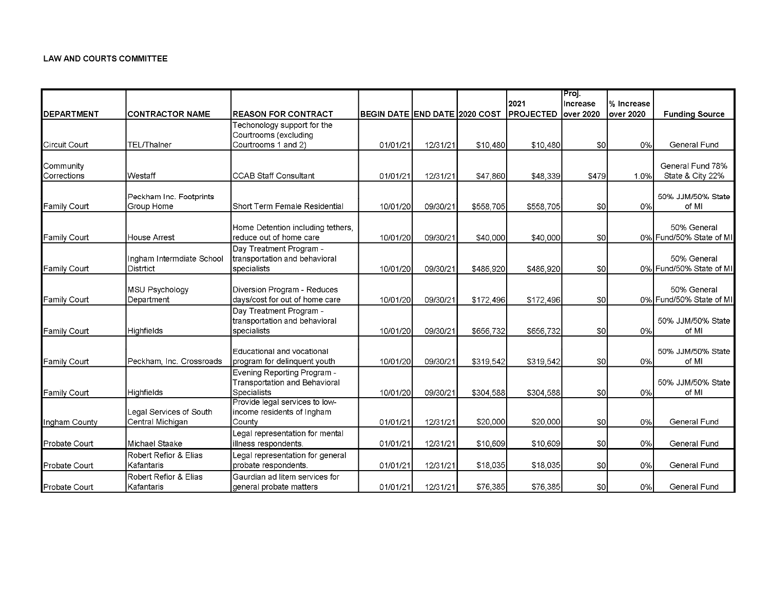#### LAW AND COURTS COMMITTEE

|                    |                           |                                                    |                               |          |           |                              | Proj.    |            |                         |
|--------------------|---------------------------|----------------------------------------------------|-------------------------------|----------|-----------|------------------------------|----------|------------|-------------------------|
|                    |                           |                                                    |                               |          |           | 2021                         | Increase | % Increase |                         |
| <b>DEPARTMENT</b>  | CONTRACTOR NAME           | <b>REASON FOR CONTRACT</b>                         | BEGIN DATE END DATE 2020 COST |          |           | <b>IPROJECTED lover 2020</b> |          | over 2020  | <b>Funding Source</b>   |
|                    |                           | Techonology support for the                        |                               |          |           |                              |          |            |                         |
|                    |                           | Courtrooms (excluding                              |                               |          |           |                              |          |            |                         |
| Circuit Court      | <b>TEL/Thainer</b>        | Courtrooms 1 and 2)                                | 01/01/21                      | 12/31/21 | \$10,480  | \$10,480                     | \$0      | 0%         | General Fund            |
| Community          |                           |                                                    |                               |          |           |                              |          |            | General Fund 78%        |
| <b>Corrections</b> | lWestaff                  | <b>CCAB Staff Consultant</b>                       | 01/01/21                      | 12/31/21 | \$47,860  | \$48,339                     | \$479    | 1.0%       | State & City 22%        |
|                    |                           |                                                    |                               |          |           |                              |          |            |                         |
|                    | Peckham Inc. Footprints   |                                                    |                               |          |           |                              |          |            | 50% JJM/50% State       |
| Family Court       | Group Home                | Short Term Female Residential                      | 10/01/20                      | 09/30/21 | \$558,705 | \$558,705                    | \$0      | 0%         | of MI                   |
|                    |                           |                                                    |                               |          |           |                              |          |            |                         |
|                    |                           | Home Detention including tethers,                  |                               |          |           |                              |          |            | 50% General             |
| Family Court       | House Arrest              | reduce out of home care<br>Day Treatment Program - | 10/01/20                      | 09/30/21 | \$40,000  | \$40,000                     | \$0      |            | 0% Fund/50% State of MI |
|                    | Ingham Intermdiate School | transportation and behavioral                      |                               |          |           |                              |          |            | 50% General             |
| Family Court       | Distrtict                 | specialists                                        | 10/01/20                      | 09/30/21 | \$486,920 | \$486,920                    | \$0      |            | 0% Fund/50% State of MI |
|                    |                           |                                                    |                               |          |           |                              |          |            |                         |
|                    | MSU Psychology            | Diversion Program - Reduces                        |                               |          |           |                              |          |            | 50% General             |
| Family Court       | Department                | days/cost for out of home care                     | 10/01/20                      | 09/30/21 | \$172,496 | \$172,496                    | \$0      |            | 0% Fund/50% State of MI |
|                    |                           | Day Treatment Program -                            |                               |          |           |                              |          |            |                         |
|                    |                           | transportation and behavioral                      |                               |          |           |                              |          |            | 50% JJM/50% State       |
| Family Court       | Highfields                | specialists                                        | 10/01/20                      | 09/30/21 | \$656,732 | \$656,732                    | \$0      | 0%         | of MI                   |
|                    |                           | Educational and vocational                         |                               |          |           |                              |          |            | 50% JJM/50% State       |
| Family Court       | Peckham, Inc. Crossroads  | program for delinquent youth                       | 10/01/20                      | 09/30/21 | \$319,542 | \$319,542                    | \$0      | 0%         | of MI                   |
|                    |                           | Evening Reporting Program -                        |                               |          |           |                              |          |            |                         |
|                    |                           | Transportation and Behavioral                      |                               |          |           |                              |          |            | 50% JJM/50% State       |
| Family Court       | <b>Highfields</b>         | <b>Specialists</b>                                 | 10/01/20                      | 09/30/21 | \$304,588 | \$304,588                    | \$0      | 0%         | of MI                   |
|                    |                           | Provide legal services to low-                     |                               |          |           |                              |          |            |                         |
|                    | Legal Services of South   | income residents of Ingham<br>County               |                               | 12/31/21 | \$20,000  | \$20,000                     | \$0      | 0%         | General Fund            |
| Ingham County      | Central Michigan          | egal representation for mental                     | 01/01/21                      |          |           |                              |          |            |                         |
| Probate Court      | Michael Staake            | illness respondents.                               | 01/01/21                      | 12/31/21 | \$10,609  | \$10,609                     | \$0      | 0%         | General Fund            |
|                    | Robert Refior & Elias     | Legal representation for general                   |                               |          |           |                              |          |            |                         |
| Probate Court      | Kafantaris                | probate respondents.                               | 01/01/21                      | 12/31/21 | \$18,035  | \$18,035                     | \$0      | 0%         | General Fund            |
|                    | Robert Refior & Elias     | Gaurdian ad litem services for                     |                               |          |           |                              |          |            |                         |
| Probate Court      | Kafantaris                | general probate matters                            | 01/01/21                      | 12/31/21 | \$76,385  | \$76,385                     | \$0      | 0%         | General Fund            |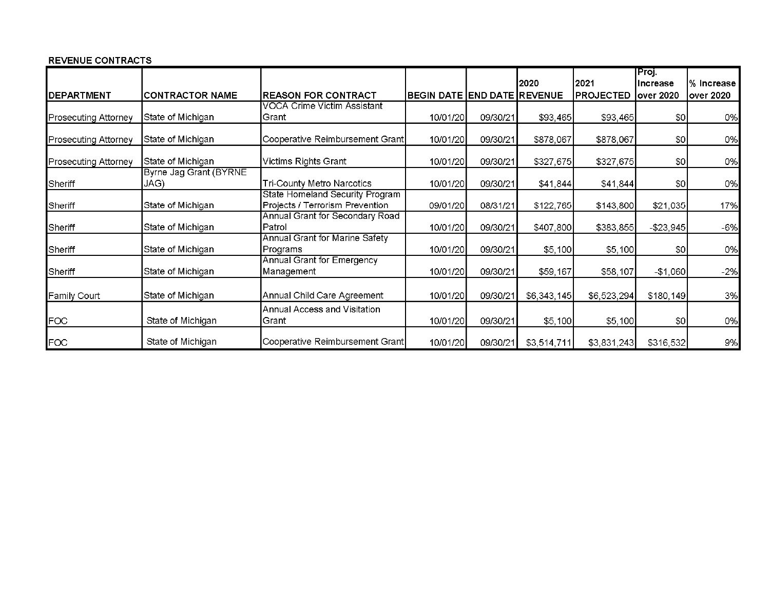#### **REVENUE CONTRACTS**

|                             |                                |                                                                    |                                    |          |             |                  | Proj.           |             |
|-----------------------------|--------------------------------|--------------------------------------------------------------------|------------------------------------|----------|-------------|------------------|-----------------|-------------|
|                             |                                |                                                                    |                                    |          | 2020        | 2021             | <b>Increase</b> | l% Increase |
| <b>IDEPARTMENT</b>          | <b>CONTRACTOR NAME</b>         | <b>IREASON FOR CONTRACT</b>                                        | <b>BEGIN DATE END DATE REVENUE</b> |          |             | <b>PROJECTED</b> | over 2020       | over 2020   |
|                             |                                | VOCA Crime Victim Assistant                                        |                                    |          |             |                  |                 |             |
| <b>Prosecuting Attorney</b> | State of Michigan              | Grant                                                              | 10/01/20                           | 09/30/21 | \$93,465    | \$93,465         | \$0             | 0%          |
| <b>Prosecuting Attorney</b> | State of Michigan              | Cooperative Reimbursement Grant                                    | 10/01/20                           | 09/30/21 | \$878,067   | \$878,067        | 30              | 0%          |
| Prosecuting Attorney        | State of Michigan              | Victims Rights Grant                                               | 10/01/20                           | 09/30/21 | \$327,675   | \$327,675        | \$0             | 0%          |
| Sheriff                     | Byrne Jag Grant (BYRNE<br>JAG) | <b>Tri-County Metro Narcotics</b>                                  | 10/01/20                           | 09/30/21 | \$41,844    | \$41,844         | \$0             | 0%          |
| Sheriff                     | State of Michigan              | State Homeland Security Program<br>Projects / Terrorism Prevention | 09/01/20                           | 08/31/21 | \$122,765   | \$143,800        | \$21,035        | 17%         |
| Sheriff                     | State of Michigan              | Annual Grant for Secondary Road<br>Patrol                          | 10/01/20                           | 09/30/21 | \$407,800   | \$383,855        | $-$ \$23,945    | $-6%$       |
| Sheriff                     | State of Michigan              | Annual Grant for Marine Safety<br>Programs                         | 10/01/20                           | 09/30/21 | \$5,100     | \$5,100          | \$0             | 0%          |
| Sheriff                     | State of Michigan              | Annual Grant for Emergency<br>Management                           | 10/01/20                           | 09/30/21 | \$59,167    | \$58,107         | $-$1,060$       | $-2%$       |
| Family Court                | State of Michigan              | Annual Child Care Agreement                                        | 10/01/20                           | 09/30/21 | \$6,343,145 | \$6,523,294      | \$180, 149      | 3%          |
| <b>FOC</b>                  | State of Michigan              | Annual Access and Visitation<br>Grant                              | 10/01/20                           | 09/30/21 | \$5,100     | \$5,100          | 50              | 0%          |
| FOC                         | State of Michigan              | Cooperative Reimbursement Grant                                    | 10/01/20                           | 09/30/2  | \$3,514,711 | \$3,831,243      | \$316,532       | 9%          |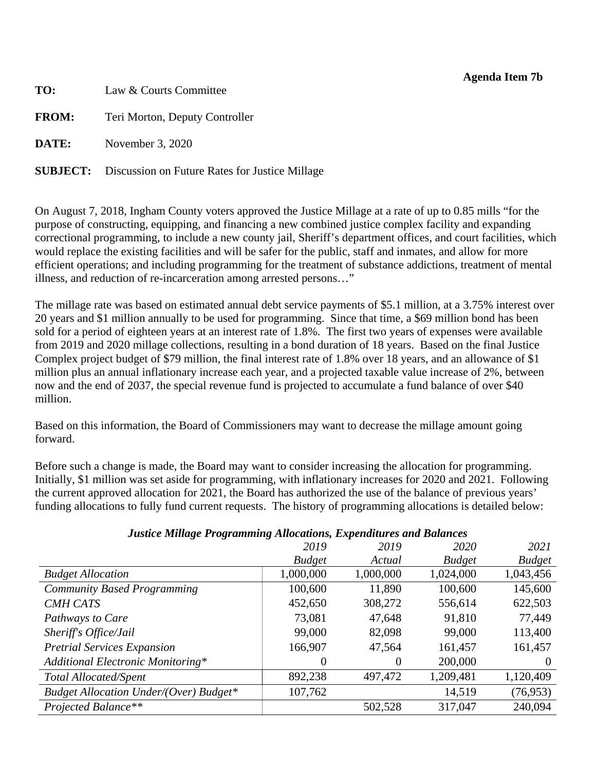#### **Agenda Item 7b**

<span id="page-48-0"></span>**TO:** Law & Courts Committee **FROM:** Teri Morton, Deputy Controller **DATE:** November 3, 2020

**SUBJECT:** Discussion on Future Rates for Justice Millage

On August 7, 2018, Ingham County voters approved the Justice Millage at a rate of up to 0.85 mills "for the purpose of constructing, equipping, and financing a new combined justice complex facility and expanding correctional programming, to include a new county jail, Sheriff's department offices, and court facilities, which would replace the existing facilities and will be safer for the public, staff and inmates, and allow for more efficient operations; and including programming for the treatment of substance addictions, treatment of mental illness, and reduction of re-incarceration among arrested persons…"

The millage rate was based on estimated annual debt service payments of \$5.1 million, at a 3.75% interest over 20 years and \$1 million annually to be used for programming. Since that time, a \$69 million bond has been sold for a period of eighteen years at an interest rate of 1.8%. The first two years of expenses were available from 2019 and 2020 millage collections, resulting in a bond duration of 18 years. Based on the final Justice Complex project budget of \$79 million, the final interest rate of 1.8% over 18 years, and an allowance of \$1 million plus an annual inflationary increase each year, and a projected taxable value increase of 2%, between now and the end of 2037, the special revenue fund is projected to accumulate a fund balance of over \$40 million.

Based on this information, the Board of Commissioners may want to decrease the millage amount going forward.

Before such a change is made, the Board may want to consider increasing the allocation for programming. Initially, \$1 million was set aside for programming, with inflationary increases for 2020 and 2021. Following the current approved allocation for 2021, the Board has authorized the use of the balance of previous years' funding allocations to fully fund current requests. The history of programming allocations is detailed below:

### *Justice Millage Programming Allocations, Expenditures and Balances*

|                                               | 2019          | 2019      | 2020          | 2021          |
|-----------------------------------------------|---------------|-----------|---------------|---------------|
|                                               | <b>Budget</b> | Actual    | <b>Budget</b> | <b>Budget</b> |
| <b>Budget Allocation</b>                      | 1,000,000     | 1,000,000 | 1,024,000     | 1,043,456     |
| <b>Community Based Programming</b>            | 100,600       | 11,890    | 100,600       | 145,600       |
| <b>CMH CATS</b>                               | 452,650       | 308,272   | 556,614       | 622,503       |
| Pathways to Care                              | 73,081        | 47,648    | 91,810        | 77,449        |
| Sheriff's Office/Jail                         | 99,000        | 82,098    | 99,000        | 113,400       |
| <b>Pretrial Services Expansion</b>            | 166,907       | 47,564    | 161,457       | 161,457       |
| Additional Electronic Monitoring*             | $\theta$      | $\theta$  | 200,000       | $\theta$      |
| Total Allocated/Spent                         | 892,238       | 497,472   | 1,209,481     | 1,120,409     |
| <b>Budget Allocation Under/(Over) Budget*</b> | 107,762       |           | 14,519        | (76, 953)     |
| Projected Balance**                           |               | 502,528   | 317,047       | 240,094       |